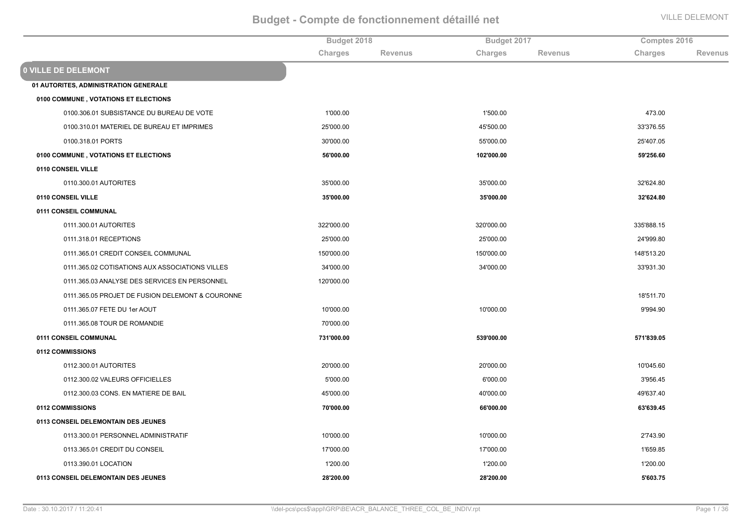|                                                  | Budget 2018 |                | Budget 2017 |                | Comptes 2016 |                |
|--------------------------------------------------|-------------|----------------|-------------|----------------|--------------|----------------|
|                                                  | Charges     | <b>Revenus</b> | Charges     | <b>Revenus</b> | Charges      | <b>Revenus</b> |
| <b>0 VILLE DE DELEMONT</b>                       |             |                |             |                |              |                |
| 01 AUTORITES, ADMINISTRATION GENERALE            |             |                |             |                |              |                |
| 0100 COMMUNE, VOTATIONS ET ELECTIONS             |             |                |             |                |              |                |
| 0100.306.01 SUBSISTANCE DU BUREAU DE VOTE        | 1'000.00    |                | 1'500.00    |                | 473.00       |                |
| 0100.310.01 MATERIEL DE BUREAU ET IMPRIMES       | 25'000.00   |                | 45'500.00   |                | 33'376.55    |                |
| 0100.318.01 PORTS                                | 30'000.00   |                | 55'000.00   |                | 25'407.05    |                |
| 0100 COMMUNE, VOTATIONS ET ELECTIONS             | 56'000.00   |                | 102'000.00  |                | 59'256.60    |                |
| 0110 CONSEIL VILLE                               |             |                |             |                |              |                |
| 0110.300.01 AUTORITES                            | 35'000.00   |                | 35'000.00   |                | 32'624.80    |                |
| 0110 CONSEIL VILLE                               | 35'000.00   |                | 35'000.00   |                | 32'624.80    |                |
| 0111 CONSEIL COMMUNAL                            |             |                |             |                |              |                |
| 0111.300.01 AUTORITES                            | 322'000.00  |                | 320'000.00  |                | 335'888.15   |                |
| 0111.318.01 RECEPTIONS                           | 25'000.00   |                | 25'000.00   |                | 24'999.80    |                |
| 0111.365.01 CREDIT CONSEIL COMMUNAL              | 150'000.00  |                | 150'000.00  |                | 148'513.20   |                |
| 0111.365.02 COTISATIONS AUX ASSOCIATIONS VILLES  | 34'000.00   |                | 34'000.00   |                | 33'931.30    |                |
| 0111.365.03 ANALYSE DES SERVICES EN PERSONNEL    | 120'000.00  |                |             |                |              |                |
| 0111.365.05 PROJET DE FUSION DELEMONT & COURONNE |             |                |             |                | 18'511.70    |                |
| 0111.365.07 FETE DU 1er AOUT                     | 10'000.00   |                | 10'000.00   |                | 9'994.90     |                |
| 0111.365.08 TOUR DE ROMANDIE                     | 70'000.00   |                |             |                |              |                |
| 0111 CONSEIL COMMUNAL                            | 731'000.00  |                | 539'000.00  |                | 571'839.05   |                |
| 0112 COMMISSIONS                                 |             |                |             |                |              |                |
| 0112.300.01 AUTORITES                            | 20'000.00   |                | 20'000.00   |                | 10'045.60    |                |
| 0112.300.02 VALEURS OFFICIELLES                  | 5'000.00    |                | 6'000.00    |                | 3'956.45     |                |
| 0112.300.03 CONS. EN MATIERE DE BAIL             | 45'000.00   |                | 40'000.00   |                | 49'637.40    |                |
| 0112 COMMISSIONS                                 | 70'000.00   |                | 66'000.00   |                | 63'639.45    |                |
| 0113 CONSEIL DELEMONTAIN DES JEUNES              |             |                |             |                |              |                |
| 0113.300.01 PERSONNEL ADMINISTRATIF              | 10'000.00   |                | 10'000.00   |                | 2'743.90     |                |
| 0113.365.01 CREDIT DU CONSEIL                    | 17'000.00   |                | 17'000.00   |                | 1'659.85     |                |
| 0113.390.01 LOCATION                             | 1'200.00    |                | 1'200.00    |                | 1'200.00     |                |
| 0113 CONSEIL DELEMONTAIN DES JEUNES              | 28'200.00   |                | 28'200.00   |                | 5'603.75     |                |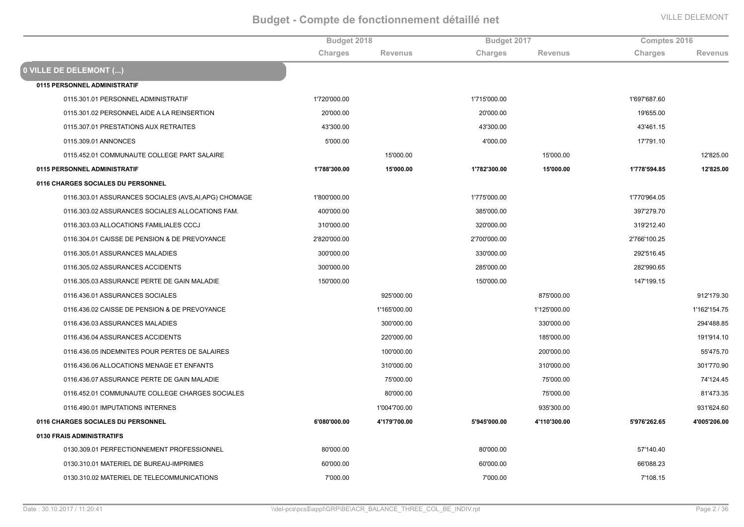|                                                        | Budget 2018  |                | Budget 2017  |                | Comptes 2016 |                |
|--------------------------------------------------------|--------------|----------------|--------------|----------------|--------------|----------------|
|                                                        | Charges      | <b>Revenus</b> | Charges      | <b>Revenus</b> | Charges      | <b>Revenus</b> |
| 0 VILLE DE DELEMONT ()                                 |              |                |              |                |              |                |
| 0115 PERSONNEL ADMINISTRATIF                           |              |                |              |                |              |                |
| 0115.301.01 PERSONNEL ADMINISTRATIF                    | 1'720'000.00 |                | 1'715'000.00 |                | 1'697'687.60 |                |
| 0115.301.02 PERSONNEL AIDE A LA REINSERTION            | 20'000.00    |                | 20'000.00    |                | 19'655.00    |                |
| 0115.307.01 PRESTATIONS AUX RETRAITES                  | 43'300.00    |                | 43'300.00    |                | 43'461.15    |                |
| 0115.309.01 ANNONCES                                   | 5'000.00     |                | 4'000.00     |                | 17'791.10    |                |
| 0115.452.01 COMMUNAUTE COLLEGE PART SALAIRE            |              | 15'000.00      |              | 15'000.00      |              | 12'825.00      |
| 0115 PERSONNEL ADMINISTRATIF                           | 1'788'300.00 | 15'000.00      | 1'782'300.00 | 15'000.00      | 1'778'594.85 | 12'825.00      |
| 0116 CHARGES SOCIALES DU PERSONNEL                     |              |                |              |                |              |                |
| 0116.303.01 ASSURANCES SOCIALES (AVS, AI, APG) CHOMAGE | 1'800'000.00 |                | 1'775'000.00 |                | 1'770'964.05 |                |
| 0116.303.02 ASSURANCES SOCIALES ALLOCATIONS FAM.       | 400'000.00   |                | 385'000.00   |                | 397'279.70   |                |
| 0116.303.03 ALLOCATIONS FAMILIALES CCCJ                | 310'000.00   |                | 320'000.00   |                | 319'212.40   |                |
| 0116.304.01 CAISSE DE PENSION & DE PREVOYANCE          | 2'820'000.00 |                | 2'700'000.00 |                | 2'766'100.25 |                |
| 0116.305.01 ASSURANCES MALADIES                        | 300'000.00   |                | 330'000.00   |                | 292'516.45   |                |
| 0116.305.02 ASSURANCES ACCIDENTS                       | 300'000.00   |                | 285'000.00   |                | 282'990.65   |                |
| 0116.305.03 ASSURANCE PERTE DE GAIN MALADIE            | 150'000.00   |                | 150'000.00   |                | 147'199.15   |                |
| 0116.436.01 ASSURANCES SOCIALES                        |              | 925'000.00     |              | 875'000.00     |              | 912'179.30     |
| 0116.436.02 CAISSE DE PENSION & DE PREVOYANCE          |              | 1'165'000.00   |              | 1'125'000.00   |              | 1'162'154.75   |
| 0116.436.03 ASSURANCES MALADIES                        |              | 300'000.00     |              | 330'000.00     |              | 294'488.85     |
| 0116.436.04 ASSURANCES ACCIDENTS                       |              | 220'000.00     |              | 185'000.00     |              | 191'914.10     |
| 0116.436.05 INDEMNITES POUR PERTES DE SALAIRES         |              | 100'000.00     |              | 200'000.00     |              | 55'475.70      |
| 0116.436.06 ALLOCATIONS MENAGE ET ENFANTS              |              | 310'000.00     |              | 310'000.00     |              | 301'770.90     |
| 0116.436.07 ASSURANCE PERTE DE GAIN MALADIE            |              | 75'000.00      |              | 75'000.00      |              | 74'124.45      |
| 0116.452.01 COMMUNAUTE COLLEGE CHARGES SOCIALES        |              | 80'000.00      |              | 75'000.00      |              | 81'473.35      |
| 0116.490.01 IMPUTATIONS INTERNES                       |              | 1'004'700.00   |              | 935'300.00     |              | 931'624.60     |
| 0116 CHARGES SOCIALES DU PERSONNEL                     | 6'080'000.00 | 4'179'700.00   | 5'945'000.00 | 4'110'300.00   | 5'976'262.65 | 4'005'206.00   |
| 0130 FRAIS ADMINISTRATIFS                              |              |                |              |                |              |                |
| 0130.309.01 PERFECTIONNEMENT PROFESSIONNEL             | 80'000.00    |                | 80'000.00    |                | 57'140.40    |                |
| 0130.310.01 MATERIEL DE BUREAU-IMPRIMES                | 60'000.00    |                | 60'000.00    |                | 66'088.23    |                |
| 0130.310.02 MATERIEL DE TELECOMMUNICATIONS             | 7'000.00     |                | 7'000.00     |                | 7'108.15     |                |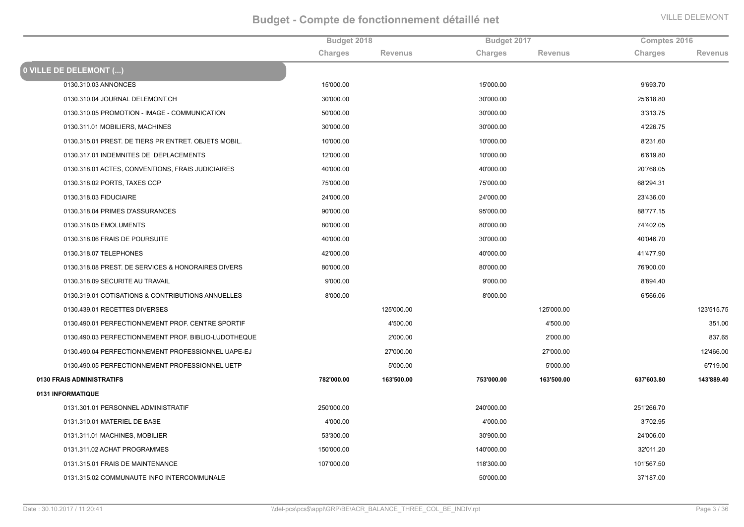|                                                      | Budget 2018 |                | Budget 2017 |                | Comptes 2016 |                |
|------------------------------------------------------|-------------|----------------|-------------|----------------|--------------|----------------|
|                                                      | Charges     | <b>Revenus</b> | Charges     | <b>Revenus</b> | Charges      | <b>Revenus</b> |
| 0 VILLE DE DELEMONT ()                               |             |                |             |                |              |                |
| 0130.310.03 ANNONCES                                 | 15'000.00   |                | 15'000.00   |                | 9'693.70     |                |
| 0130.310.04 JOURNAL DELEMONT.CH                      | 30'000.00   |                | 30'000.00   |                | 25'618.80    |                |
| 0130.310.05 PROMOTION - IMAGE - COMMUNICATION        | 50'000.00   |                | 30'000.00   |                | 3'313.75     |                |
| 0130.311.01 MOBILIERS, MACHINES                      | 30'000.00   |                | 30'000.00   |                | 4'226.75     |                |
| 0130.315.01 PREST. DE TIERS PR ENTRET. OBJETS MOBIL. | 10'000.00   |                | 10'000.00   |                | 8'231.60     |                |
| 0130.317.01 INDEMNITES DE DEPLACEMENTS               | 12'000.00   |                | 10'000.00   |                | 6'619.80     |                |
| 0130.318.01 ACTES, CONVENTIONS, FRAIS JUDICIAIRES    | 40'000.00   |                | 40'000.00   |                | 20'768.05    |                |
| 0130.318.02 PORTS, TAXES CCP                         | 75'000.00   |                | 75'000.00   |                | 68'294.31    |                |
| 0130.318.03 FIDUCIAIRE                               | 24'000.00   |                | 24'000.00   |                | 23'436.00    |                |
| 0130.318.04 PRIMES D'ASSURANCES                      | 90'000.00   |                | 95'000.00   |                | 88'777.15    |                |
| 0130.318.05 EMOLUMENTS                               | 80'000.00   |                | 80'000.00   |                | 74'402.05    |                |
| 0130.318.06 FRAIS DE POURSUITE                       | 40'000.00   |                | 30'000.00   |                | 40'046.70    |                |
| 0130.318.07 TELEPHONES                               | 42'000.00   |                | 40'000.00   |                | 41'477.90    |                |
| 0130.318.08 PREST. DE SERVICES & HONORAIRES DIVERS   | 80'000.00   |                | 80'000.00   |                | 76'900.00    |                |
| 0130.318.09 SECURITE AU TRAVAIL                      | 9'000.00    |                | 9'000.00    |                | 8'894.40     |                |
| 0130.319.01 COTISATIONS & CONTRIBUTIONS ANNUELLES    | 8'000.00    |                | 8'000.00    |                | 6'566.06     |                |
| 0130.439.01 RECETTES DIVERSES                        |             | 125'000.00     |             | 125'000.00     |              | 123'515.75     |
| 0130.490.01 PERFECTIONNEMENT PROF. CENTRE SPORTIF    |             | 4'500.00       |             | 4'500.00       |              | 351.00         |
| 0130.490.03 PERFECTIONNEMENT PROF. BIBLIO-LUDOTHEQUE |             | 2'000.00       |             | 2'000.00       |              | 837.65         |
| 0130.490.04 PERFECTIONNEMENT PROFESSIONNEL UAPE-EJ   |             | 27'000.00      |             | 27'000.00      |              | 12'466.00      |
| 0130.490.05 PERFECTIONNEMENT PROFESSIONNEL UETP      |             | 5'000.00       |             | 5'000.00       |              | 6'719.00       |
| 0130 FRAIS ADMINISTRATIFS                            | 782'000.00  | 163'500.00     | 753'000.00  | 163'500.00     | 637'603.80   | 143'889.40     |
| 0131 INFORMATIQUE                                    |             |                |             |                |              |                |
| 0131.301.01 PERSONNEL ADMINISTRATIF                  | 250'000.00  |                | 240'000.00  |                | 251'266.70   |                |
| 0131.310.01 MATERIEL DE BASE                         | 4'000.00    |                | 4'000.00    |                | 3'702.95     |                |
| 0131.311.01 MACHINES, MOBILIER                       | 53'300.00   |                | 30'900.00   |                | 24'006.00    |                |
| 0131.311.02 ACHAT PROGRAMMES                         | 150'000.00  |                | 140'000.00  |                | 32'011.20    |                |
| 0131.315.01 FRAIS DE MAINTENANCE                     | 107'000.00  |                | 118'300.00  |                | 101'567.50   |                |
| 0131.315.02 COMMUNAUTE INFO INTERCOMMUNALE           |             |                | 50'000.00   |                | 37'187.00    |                |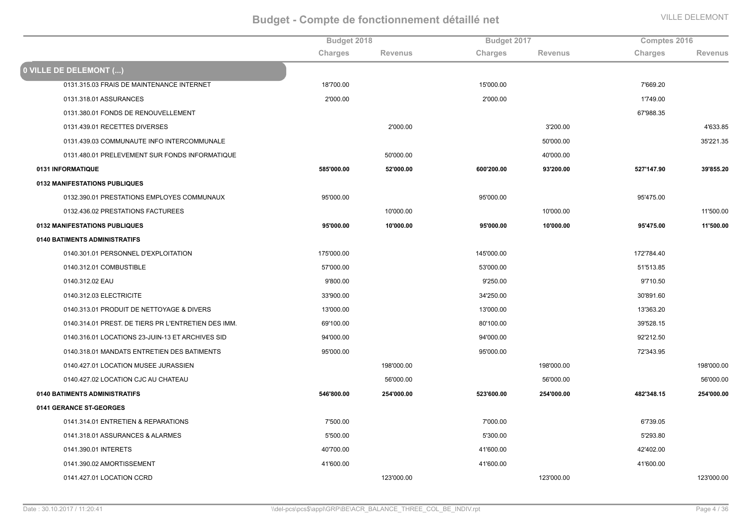|                                                     | Budget 2018 |                | Budget 2017 |                | Comptes 2016 |                |
|-----------------------------------------------------|-------------|----------------|-------------|----------------|--------------|----------------|
|                                                     | Charges     | <b>Revenus</b> | Charges     | <b>Revenus</b> | Charges      | <b>Revenus</b> |
| 0 VILLE DE DELEMONT ()                              |             |                |             |                |              |                |
| 0131.315.03 FRAIS DE MAINTENANCE INTERNET           | 18'700.00   |                | 15'000.00   |                | 7'669.20     |                |
| 0131.318.01 ASSURANCES                              | 2'000.00    |                | 2'000.00    |                | 1'749.00     |                |
| 0131.380.01 FONDS DE RENOUVELLEMENT                 |             |                |             |                | 67'988.35    |                |
| 0131.439.01 RECETTES DIVERSES                       |             | 2'000.00       |             | 3'200.00       |              | 4'633.85       |
| 0131.439.03 COMMUNAUTE INFO INTERCOMMUNALE          |             |                |             | 50'000.00      |              | 35'221.35      |
| 0131.480.01 PRELEVEMENT SUR FONDS INFORMATIQUE      |             | 50'000.00      |             | 40'000.00      |              |                |
| 0131 INFORMATIQUE                                   | 585'000.00  | 52'000.00      | 600'200.00  | 93'200.00      | 527'147.90   | 39'855.20      |
| 0132 MANIFESTATIONS PUBLIQUES                       |             |                |             |                |              |                |
| 0132.390.01 PRESTATIONS EMPLOYES COMMUNAUX          | 95'000.00   |                | 95'000.00   |                | 95'475.00    |                |
| 0132.436.02 PRESTATIONS FACTUREES                   |             | 10'000.00      |             | 10'000.00      |              | 11'500.00      |
| 0132 MANIFESTATIONS PUBLIQUES                       | 95'000.00   | 10'000.00      | 95'000.00   | 10'000.00      | 95'475.00    | 11'500.00      |
| 0140 BATIMENTS ADMINISTRATIFS                       |             |                |             |                |              |                |
| 0140.301.01 PERSONNEL D'EXPLOITATION                | 175'000.00  |                | 145'000.00  |                | 172'784.40   |                |
| 0140.312.01 COMBUSTIBLE                             | 57'000.00   |                | 53'000.00   |                | 51'513.85    |                |
| 0140.312.02 EAU                                     | 9'800.00    |                | 9'250.00    |                | 9'710.50     |                |
| 0140.312.03 ELECTRICITE                             | 33'900.00   |                | 34'250.00   |                | 30'891.60    |                |
| 0140.313.01 PRODUIT DE NETTOYAGE & DIVERS           | 13'000.00   |                | 13'000.00   |                | 13'363.20    |                |
| 0140.314.01 PREST. DE TIERS PR L'ENTRETIEN DES IMM. | 69'100.00   |                | 80'100.00   |                | 39'528.15    |                |
| 0140.316.01 LOCATIONS 23-JUIN-13 ET ARCHIVES SID    | 94'000.00   |                | 94'000.00   |                | 92'212.50    |                |
| 0140.318.01 MANDATS ENTRETIEN DES BATIMENTS         | 95'000.00   |                | 95'000.00   |                | 72'343.95    |                |
| 0140.427.01 LOCATION MUSEE JURASSIEN                |             | 198'000.00     |             | 198'000.00     |              | 198'000.00     |
| 0140.427.02 LOCATION CJC AU CHATEAU                 |             | 56'000.00      |             | 56'000.00      |              | 56'000.00      |
| 0140 BATIMENTS ADMINISTRATIFS                       | 546'800.00  | 254'000.00     | 523'600.00  | 254'000.00     | 482'348.15   | 254'000.00     |
| 0141 GERANCE ST-GEORGES                             |             |                |             |                |              |                |
| 0141.314.01 ENTRETIEN & REPARATIONS                 | 7'500.00    |                | 7'000.00    |                | 6'739.05     |                |
| 0141.318.01 ASSURANCES & ALARMES                    | 5'500.00    |                | 5'300.00    |                | 5'293.80     |                |
| 0141.390.01 INTERETS                                | 40'700.00   |                | 41'600.00   |                | 42'402.00    |                |
| 0141.390.02 AMORTISSEMENT                           | 41'600.00   |                | 41'600.00   |                | 41'600.00    |                |
| 0141.427.01 LOCATION CCRD                           |             | 123'000.00     |             | 123'000.00     |              | 123'000.00     |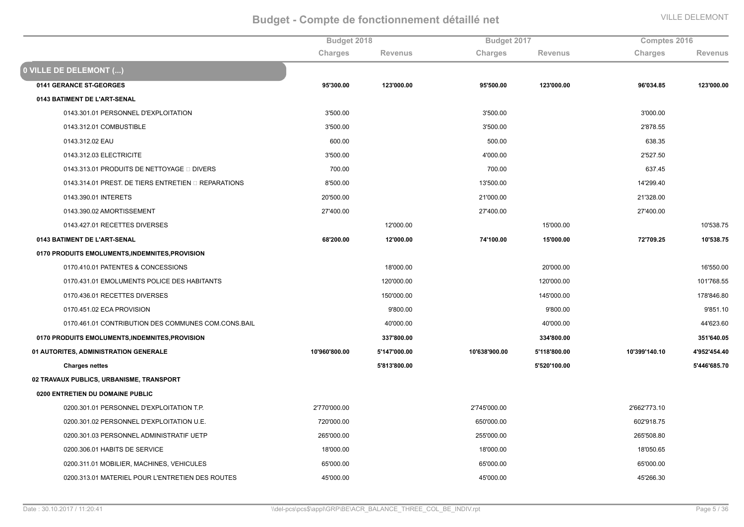|                                                      | Budget 2018   |                |               | Budget 2017    |               | Comptes 2016   |  |
|------------------------------------------------------|---------------|----------------|---------------|----------------|---------------|----------------|--|
|                                                      | Charges       | <b>Revenus</b> | Charges       | <b>Revenus</b> | Charges       | <b>Revenus</b> |  |
| 0 VILLE DE DELEMONT ()                               |               |                |               |                |               |                |  |
| 0141 GERANCE ST-GEORGES                              | 95'300.00     | 123'000.00     | 95'500.00     | 123'000.00     | 96'034.85     | 123'000.00     |  |
| 0143 BATIMENT DE L'ART-SENAL                         |               |                |               |                |               |                |  |
| 0143.301.01 PERSONNEL D'EXPLOITATION                 | 3'500.00      |                | 3'500.00      |                | 3'000.00      |                |  |
| 0143.312.01 COMBUSTIBLE                              | 3'500.00      |                | 3'500.00      |                | 2'878.55      |                |  |
| 0143.312.02 EAU                                      | 600.00        |                | 500.00        |                | 638.35        |                |  |
| 0143.312.03 ELECTRICITE                              | 3'500.00      |                | 4'000.00      |                | 2'527.50      |                |  |
| 0143.313.01 PRODUITS DE NETTOYAGE □ DIVERS           | 700.00        |                | 700.00        |                | 637.45        |                |  |
| 0143.314.01 PREST. DE TIERS ENTRETIEN OR REPARATIONS | 8'500.00      |                | 13'500.00     |                | 14'299.40     |                |  |
| 0143.390.01 INTERETS                                 | 20'500.00     |                | 21'000.00     |                | 21'328.00     |                |  |
| 0143.390.02 AMORTISSEMENT                            | 27'400.00     |                | 27'400.00     |                | 27'400.00     |                |  |
| 0143.427.01 RECETTES DIVERSES                        |               | 12'000.00      |               | 15'000.00      |               | 10'538.75      |  |
| 0143 BATIMENT DE L'ART-SENAL                         | 68'200.00     | 12'000.00      | 74'100.00     | 15'000.00      | 72'709.25     | 10'538.75      |  |
| 0170 PRODUITS EMOLUMENTS, INDEMNITES, PROVISION      |               |                |               |                |               |                |  |
| 0170.410.01 PATENTES & CONCESSIONS                   |               | 18'000.00      |               | 20'000.00      |               | 16'550.00      |  |
| 0170.431.01 EMOLUMENTS POLICE DES HABITANTS          |               | 120'000.00     |               | 120'000.00     |               | 101'768.55     |  |
| 0170.436.01 RECETTES DIVERSES                        |               | 150'000.00     |               | 145'000.00     |               | 178'846.80     |  |
| 0170.451.02 ECA PROVISION                            |               | 9'800.00       |               | 9'800.00       |               | 9'851.10       |  |
| 0170.461.01 CONTRIBUTION DES COMMUNES COM.CONS.BAIL  |               | 40'000.00      |               | 40'000.00      |               | 44'623.60      |  |
| 0170 PRODUITS EMOLUMENTS, INDEMNITES, PROVISION      |               | 337'800.00     |               | 334'800.00     |               | 351'640.05     |  |
| 01 AUTORITES, ADMINISTRATION GENERALE                | 10'960'800.00 | 5'147'000.00   | 10'638'900.00 | 5'118'800.00   | 10'399'140.10 | 4'952'454.40   |  |
| <b>Charges nettes</b>                                |               | 5'813'800.00   |               | 5'520'100.00   |               | 5'446'685.70   |  |
| 02 TRAVAUX PUBLICS, URBANISME, TRANSPORT             |               |                |               |                |               |                |  |
| 0200 ENTRETIEN DU DOMAINE PUBLIC                     |               |                |               |                |               |                |  |
| 0200.301.01 PERSONNEL D'EXPLOITATION T.P.            | 2'770'000.00  |                | 2'745'000.00  |                | 2'662'773.10  |                |  |
| 0200.301.02 PERSONNEL D'EXPLOITATION U.E.            | 720'000.00    |                | 650'000.00    |                | 602'918.75    |                |  |
| 0200.301.03 PERSONNEL ADMINISTRATIF UETP             | 265'000.00    |                | 255'000.00    |                | 265'508.80    |                |  |
| 0200.306.01 HABITS DE SERVICE                        | 18'000.00     |                | 18'000.00     |                | 18'050.65     |                |  |
| 0200.311.01 MOBILIER, MACHINES, VEHICULES            | 65'000.00     |                | 65'000.00     |                | 65'000.00     |                |  |
| 0200.313.01 MATERIEL POUR L'ENTRETIEN DES ROUTES     | 45'000.00     |                | 45'000.00     |                | 45'266.30     |                |  |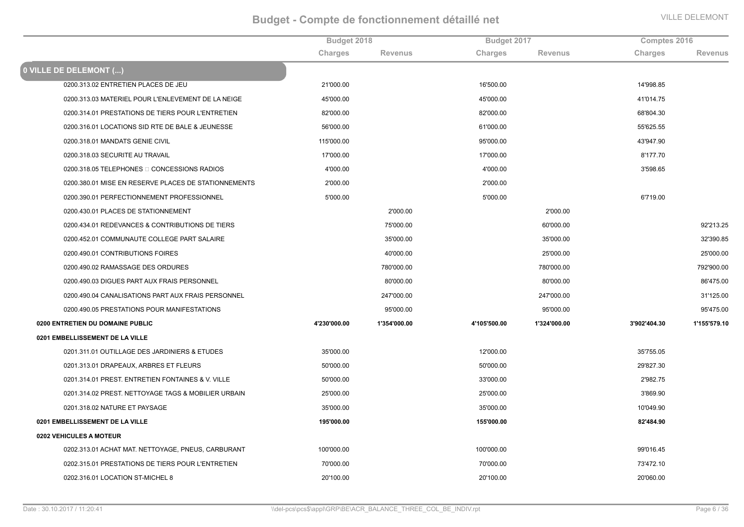|                                                      | Budget 2018  |                | Budget 2017  |                | Comptes 2016 |                |
|------------------------------------------------------|--------------|----------------|--------------|----------------|--------------|----------------|
|                                                      | Charges      | <b>Revenus</b> | Charges      | <b>Revenus</b> | Charges      | <b>Revenus</b> |
| 0 VILLE DE DELEMONT ()                               |              |                |              |                |              |                |
| 0200.313.02 ENTRETIEN PLACES DE JEU                  | 21'000.00    |                | 16'500.00    |                | 14'998.85    |                |
| 0200.313.03 MATERIEL POUR L'ENLEVEMENT DE LA NEIGE   | 45'000.00    |                | 45'000.00    |                | 41'014.75    |                |
| 0200.314.01 PRESTATIONS DE TIERS POUR L'ENTRETIEN    | 82'000.00    |                | 82'000.00    |                | 68'804.30    |                |
| 0200.316.01 LOCATIONS SID RTE DE BALE & JEUNESSE     | 56'000.00    |                | 61'000.00    |                | 55'625.55    |                |
| 0200.318.01 MANDATS GENIE CIVIL                      | 115'000.00   |                | 95'000.00    |                | 43'947.90    |                |
| 0200.318.03 SECURITE AU TRAVAIL                      | 17'000.00    |                | 17'000.00    |                | 8'177.70     |                |
| 0200.318.05 TELEPHONES O CONCESSIONS RADIOS          | 4'000.00     |                | 4'000.00     |                | 3'598.65     |                |
| 0200.380.01 MISE EN RESERVE PLACES DE STATIONNEMENTS | 2'000.00     |                | 2'000.00     |                |              |                |
| 0200.390.01 PERFECTIONNEMENT PROFESSIONNEL           | 5'000.00     |                | 5'000.00     |                | 6'719.00     |                |
| 0200.430.01 PLACES DE STATIONNEMENT                  |              | 2'000.00       |              | 2'000.00       |              |                |
| 0200.434.01 REDEVANCES & CONTRIBUTIONS DE TIERS      |              | 75'000.00      |              | 60'000.00      |              | 92'213.25      |
| 0200.452.01 COMMUNAUTE COLLEGE PART SALAIRE          |              | 35'000.00      |              | 35'000.00      |              | 32'390.85      |
| 0200.490.01 CONTRIBUTIONS FOIRES                     |              | 40'000.00      |              | 25'000.00      |              | 25'000.00      |
| 0200.490.02 RAMASSAGE DES ORDURES                    |              | 780'000.00     |              | 780'000.00     |              | 792'900.00     |
| 0200.490.03 DIGUES PART AUX FRAIS PERSONNEL          |              | 80'000.00      |              | 80'000.00      |              | 86'475.00      |
| 0200.490.04 CANALISATIONS PART AUX FRAIS PERSONNEL   |              | 247'000.00     |              | 247'000.00     |              | 31'125.00      |
| 0200.490.05 PRESTATIONS POUR MANIFESTATIONS          |              | 95'000.00      |              | 95'000.00      |              | 95'475.00      |
| 0200 ENTRETIEN DU DOMAINE PUBLIC                     | 4'230'000.00 | 1'354'000.00   | 4'105'500.00 | 1'324'000.00   | 3'902'404.30 | 1'155'579.10   |
| 0201 EMBELLISSEMENT DE LA VILLE                      |              |                |              |                |              |                |
| 0201.311.01 OUTILLAGE DES JARDINIERS & ETUDES        | 35'000.00    |                | 12'000.00    |                | 35'755.05    |                |
| 0201.313.01 DRAPEAUX, ARBRES ET FLEURS               | 50'000.00    |                | 50'000.00    |                | 29'827.30    |                |
| 0201.314.01 PREST. ENTRETIEN FONTAINES & V. VILLE    | 50'000.00    |                | 33'000.00    |                | 2'982.75     |                |
| 0201.314.02 PREST. NETTOYAGE TAGS & MOBILIER URBAIN  | 25'000.00    |                | 25'000.00    |                | 3'869.90     |                |
| 0201.318.02 NATURE ET PAYSAGE                        | 35'000.00    |                | 35'000.00    |                | 10'049.90    |                |
| 0201 EMBELLISSEMENT DE LA VILLE                      | 195'000.00   |                | 155'000.00   |                | 82'484.90    |                |
| 0202 VEHICULES A MOTEUR                              |              |                |              |                |              |                |
| 0202.313.01 ACHAT MAT. NETTOYAGE, PNEUS, CARBURANT   | 100'000.00   |                | 100'000.00   |                | 99'016.45    |                |
| 0202.315.01 PRESTATIONS DE TIERS POUR L'ENTRETIEN    | 70'000.00    |                | 70'000.00    |                | 73'472.10    |                |
| 0202.316.01 LOCATION ST-MICHEL 8                     | 20'100.00    |                | 20'100.00    |                | 20'060.00    |                |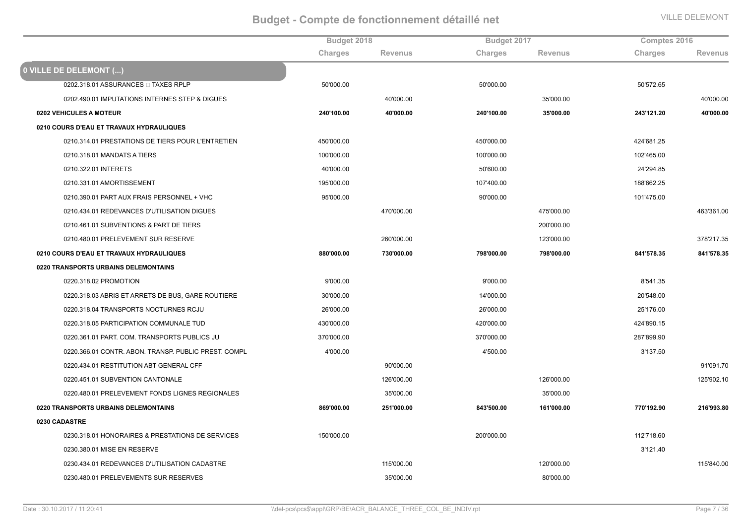|                                                      | Budget 2018 |                | Budget 2017 |                | Comptes 2016   |                |
|------------------------------------------------------|-------------|----------------|-------------|----------------|----------------|----------------|
|                                                      | Charges     | <b>Revenus</b> | Charges     | <b>Revenus</b> | <b>Charges</b> | <b>Revenus</b> |
| 0 VILLE DE DELEMONT ()                               |             |                |             |                |                |                |
| 0202.318.01 ASSURANCES □ TAXES RPLP                  | 50'000.00   |                | 50'000.00   |                | 50'572.65      |                |
| 0202.490.01 IMPUTATIONS INTERNES STEP & DIGUES       |             | 40'000.00      |             | 35'000.00      |                | 40'000.00      |
| 0202 VEHICULES A MOTEUR                              | 240'100.00  | 40'000.00      | 240'100.00  | 35'000.00      | 243'121.20     | 40'000.00      |
| 0210 COURS D'EAU ET TRAVAUX HYDRAULIQUES             |             |                |             |                |                |                |
| 0210.314.01 PRESTATIONS DE TIERS POUR L'ENTRETIEN    | 450'000.00  |                | 450'000.00  |                | 424'681.25     |                |
| 0210.318.01 MANDATS A TIERS                          | 100'000.00  |                | 100'000.00  |                | 102'465.00     |                |
| 0210.322.01 INTERETS                                 | 40'000.00   |                | 50'600.00   |                | 24'294.85      |                |
| 0210.331.01 AMORTISSEMENT                            | 195'000.00  |                | 107'400.00  |                | 188'662.25     |                |
| 0210.390.01 PART AUX FRAIS PERSONNEL + VHC           | 95'000.00   |                | 90'000.00   |                | 101'475.00     |                |
| 0210.434.01 REDEVANCES D'UTILISATION DIGUES          |             | 470'000.00     |             | 475'000.00     |                | 463'361.00     |
| 0210.461.01 SUBVENTIONS & PART DE TIERS              |             |                |             | 200'000.00     |                |                |
| 0210.480.01 PRELEVEMENT SUR RESERVE                  |             | 260'000.00     |             | 123'000.00     |                | 378'217.35     |
| 0210 COURS D'EAU ET TRAVAUX HYDRAULIQUES             | 880'000.00  | 730'000.00     | 798'000.00  | 798'000.00     | 841'578.35     | 841'578.35     |
| 0220 TRANSPORTS URBAINS DELEMONTAINS                 |             |                |             |                |                |                |
| 0220.318.02 PROMOTION                                | 9'000.00    |                | 9'000.00    |                | 8'541.35       |                |
| 0220.318.03 ABRIS ET ARRETS DE BUS, GARE ROUTIERE    | 30'000.00   |                | 14'000.00   |                | 20'548.00      |                |
| 0220.318.04 TRANSPORTS NOCTURNES RCJU                | 26'000.00   |                | 26'000.00   |                | 25'176.00      |                |
| 0220.318.05 PARTICIPATION COMMUNALE TUD              | 430'000.00  |                | 420'000.00  |                | 424'890.15     |                |
| 0220.361.01 PART. COM. TRANSPORTS PUBLICS JU         | 370'000.00  |                | 370'000.00  |                | 287'899.90     |                |
| 0220.366.01 CONTR. ABON. TRANSP. PUBLIC PREST. COMPL | 4'000.00    |                | 4'500.00    |                | 3'137.50       |                |
| 0220.434.01 RESTITUTION ABT GENERAL CFF              |             | 90'000.00      |             |                |                | 91'091.70      |
| 0220.451.01 SUBVENTION CANTONALE                     |             | 126'000.00     |             | 126'000.00     |                | 125'902.10     |
| 0220.480.01 PRELEVEMENT FONDS LIGNES REGIONALES      |             | 35'000.00      |             | 35'000.00      |                |                |
| 0220 TRANSPORTS URBAINS DELEMONTAINS                 | 869'000.00  | 251'000.00     | 843'500.00  | 161'000.00     | 770'192.90     | 216'993.80     |
| 0230 CADASTRE                                        |             |                |             |                |                |                |
| 0230.318.01 HONORAIRES & PRESTATIONS DE SERVICES     | 150'000.00  |                | 200'000.00  |                | 112'718.60     |                |
| 0230.380.01 MISE EN RESERVE                          |             |                |             |                | 3'121.40       |                |
| 0230.434.01 REDEVANCES D'UTILISATION CADASTRE        |             | 115'000.00     |             | 120'000.00     |                | 115'840.00     |
| 0230.480.01 PRELEVEMENTS SUR RESERVES                |             | 35'000.00      |             | 80'000.00      |                |                |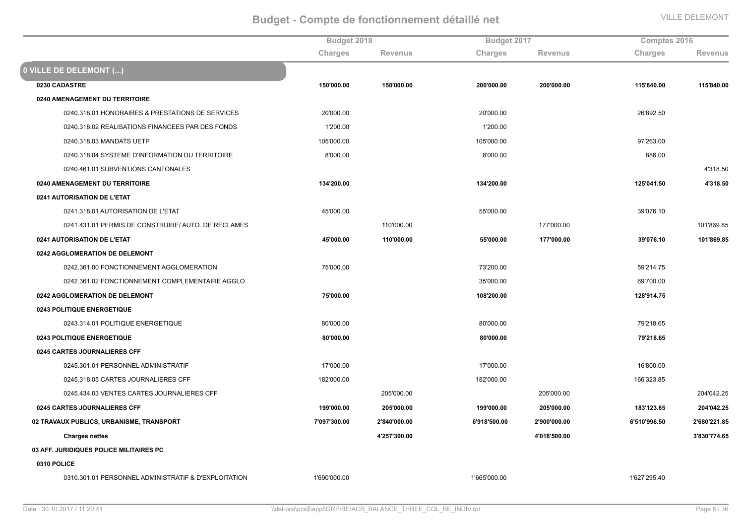|                                                      | Budget 2018  |                |              | Budget 2017    |                | Comptes 2016   |  |
|------------------------------------------------------|--------------|----------------|--------------|----------------|----------------|----------------|--|
|                                                      | Charges      | <b>Revenus</b> | Charges      | <b>Revenus</b> | <b>Charges</b> | <b>Revenus</b> |  |
| 0 VILLE DE DELEMONT ()                               |              |                |              |                |                |                |  |
| 0230 CADASTRE                                        | 150'000.00   | 150'000.00     | 200'000.00   | 200'000.00     | 115'840.00     | 115'840.00     |  |
| 0240 AMENAGEMENT DU TERRITOIRE                       |              |                |              |                |                |                |  |
| 0240.318.01 HONORAIRES & PRESTATIONS DE SERVICES     | 20'000.00    |                | 20'000.00    |                | 26'892.50      |                |  |
| 0240.318.02 REALISATIONS FINANCEES PAR DES FONDS     | 1'200.00     |                | 1'200.00     |                |                |                |  |
| 0240.318.03 MANDATS UETP                             | 105'000.00   |                | 105'000.00   |                | 97'263.00      |                |  |
| 0240.318.04 SYSTEME D'INFORMATION DU TERRITOIRE      | 8'000.00     |                | 8'000.00     |                | 886.00         |                |  |
| 0240.461.01 SUBVENTIONS CANTONALES                   |              |                |              |                |                | 4'318.50       |  |
| 0240 AMENAGEMENT DU TERRITOIRE                       | 134'200.00   |                | 134'200.00   |                | 125'041.50     | 4'318.50       |  |
| 0241 AUTORISATION DE L'ETAT                          |              |                |              |                |                |                |  |
| 0241.318.01 AUTORISATION DE L'ETAT                   | 45'000.00    |                | 55'000.00    |                | 39'076.10      |                |  |
| 0241.431.01 PERMIS DE CONSTRUIRE/ AUTO. DE RECLAMES  |              | 110'000.00     |              | 177'000.00     |                | 101'869.85     |  |
| 0241 AUTORISATION DE L'ETAT                          | 45'000.00    | 110'000.00     | 55'000.00    | 177'000.00     | 39'076.10      | 101'869.85     |  |
| 0242 AGGLOMERATION DE DELEMONT                       |              |                |              |                |                |                |  |
| 0242.361.00 FONCTIONNEMENT AGGLOMERATION             | 75'000.00    |                | 73'200.00    |                | 59'214.75      |                |  |
| 0242.361.02 FONCTIONNEMENT COMPLEMENTAIRE AGGLO      |              |                | 35'000.00    |                | 69'700.00      |                |  |
| 0242 AGGLOMERATION DE DELEMONT                       | 75'000.00    |                | 108'200.00   |                | 128'914.75     |                |  |
| 0243 POLITIQUE ENERGETIQUE                           |              |                |              |                |                |                |  |
| 0243.314.01 POLITIQUE ENERGETIQUE                    | 80'000.00    |                | 80'000.00    |                | 79'218.65      |                |  |
| 0243 POLITIQUE ENERGETIQUE                           | 80'000.00    |                | 80'000.00    |                | 79'218.65      |                |  |
| 0245 CARTES JOURNALIERES CFF                         |              |                |              |                |                |                |  |
| 0245.301.01 PERSONNEL ADMINISTRATIF                  | 17'000.00    |                | 17'000.00    |                | 16'800.00      |                |  |
| 0245.318.05 CARTES JOURNALIERES CFF                  | 182'000.00   |                | 182'000.00   |                | 166'323.85     |                |  |
| 0245.434.03 VENTES CARTES JOURNALIERES CFF           |              | 205'000.00     |              | 205'000.00     |                | 204'042.25     |  |
| 0245 CARTES JOURNALIERES CFF                         | 199'000.00   | 205'000.00     | 199'000.00   | 205'000.00     | 183'123.85     | 204'042.25     |  |
| 02 TRAVAUX PUBLICS, URBANISME, TRANSPORT             | 7'097'300.00 | 2'840'000.00   | 6'918'500.00 | 2'900'000.00   | 6'510'996.50   | 2'680'221.85   |  |
| <b>Charges nettes</b>                                |              | 4'257'300.00   |              | 4'018'500.00   |                | 3'830'774.65   |  |
| 03 AFF. JURIDIQUES POLICE MILITAIRES PC              |              |                |              |                |                |                |  |
| 0310 POLICE                                          |              |                |              |                |                |                |  |
| 0310.301.01 PERSONNEL ADMINISTRATIF & D'EXPLOITATION | 1'690'000.00 |                | 1'665'000.00 |                | 1'627'295.40   |                |  |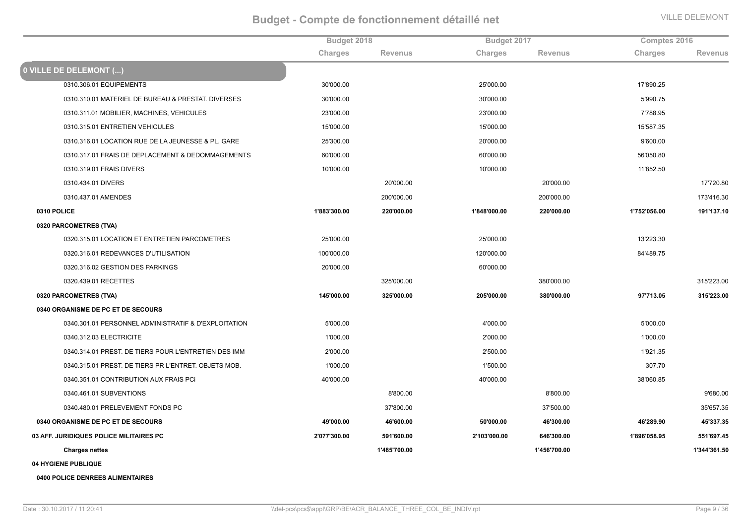|                                                      | Budget 2018  |                | Budget 2017  |                | Comptes 2016 |                |
|------------------------------------------------------|--------------|----------------|--------------|----------------|--------------|----------------|
|                                                      | Charges      | <b>Revenus</b> | Charges      | <b>Revenus</b> | Charges      | <b>Revenus</b> |
| <b>0 VILLE DE DELEMONT ()</b>                        |              |                |              |                |              |                |
| 0310.306.01 EQUIPEMENTS                              | 30'000.00    |                | 25'000.00    |                | 17'890.25    |                |
| 0310.310.01 MATERIEL DE BUREAU & PRESTAT. DIVERSES   | 30'000.00    |                | 30'000.00    |                | 5'990.75     |                |
| 0310.311.01 MOBILIER, MACHINES, VEHICULES            | 23'000.00    |                | 23'000.00    |                | 7'788.95     |                |
| 0310.315.01 ENTRETIEN VEHICULES                      | 15'000.00    |                | 15'000.00    |                | 15'587.35    |                |
| 0310.316.01 LOCATION RUE DE LA JEUNESSE & PL. GARE   | 25'300.00    |                | 20'000.00    |                | 9'600.00     |                |
| 0310.317.01 FRAIS DE DEPLACEMENT & DEDOMMAGEMENTS    | 60'000.00    |                | 60'000.00    |                | 56'050.80    |                |
| 0310.319.01 FRAIS DIVERS                             | 10'000.00    |                | 10'000.00    |                | 11'852.50    |                |
| 0310.434.01 DIVERS                                   |              | 20'000.00      |              | 20'000.00      |              | 17'720.80      |
| 0310.437.01 AMENDES                                  |              | 200'000.00     |              | 200'000.00     |              | 173'416.30     |
| 0310 POLICE                                          | 1'883'300.00 | 220'000.00     | 1'848'000.00 | 220'000.00     | 1'752'056.00 | 191'137.10     |
| 0320 PARCOMETRES (TVA)                               |              |                |              |                |              |                |
| 0320.315.01 LOCATION ET ENTRETIEN PARCOMETRES        | 25'000.00    |                | 25'000.00    |                | 13'223.30    |                |
| 0320.316.01 REDEVANCES D'UTILISATION                 | 100'000.00   |                | 120'000.00   |                | 84'489.75    |                |
| 0320.316.02 GESTION DES PARKINGS                     | 20'000.00    |                | 60'000.00    |                |              |                |
| 0320.439.01 RECETTES                                 |              | 325'000.00     |              | 380'000.00     |              | 315'223.00     |
| 0320 PARCOMETRES (TVA)                               | 145'000.00   | 325'000.00     | 205'000.00   | 380'000.00     | 97'713.05    | 315'223.00     |
| 0340 ORGANISME DE PC ET DE SECOURS                   |              |                |              |                |              |                |
| 0340.301.01 PERSONNEL ADMINISTRATIF & D'EXPLOITATION | 5'000.00     |                | 4'000.00     |                | 5'000.00     |                |
| 0340.312.03 ELECTRICITE                              | 1'000.00     |                | 2'000.00     |                | 1'000.00     |                |
| 0340.314.01 PREST. DE TIERS POUR L'ENTRETIEN DES IMM | 2'000.00     |                | 2'500.00     |                | 1'921.35     |                |
| 0340.315.01 PREST. DE TIERS PR L'ENTRET. OBJETS MOB. | 1'000.00     |                | 1'500.00     |                | 307.70       |                |
| 0340.351.01 CONTRIBUTION AUX FRAIS PCI               | 40'000.00    |                | 40'000.00    |                | 38'060.85    |                |
| 0340.461.01 SUBVENTIONS                              |              | 8'800.00       |              | 8'800.00       |              | 9'680.00       |
| 0340.480.01 PRELEVEMENT FONDS PC                     |              | 37'800.00      |              | 37'500.00      |              | 35'657.35      |
| 0340 ORGANISME DE PC ET DE SECOURS                   | 49'000.00    | 46'600.00      | 50'000.00    | 46'300.00      | 46'289.90    | 45'337.35      |
| 03 AFF. JURIDIQUES POLICE MILITAIRES PC              | 2'077'300.00 | 591'600.00     | 2'103'000.00 | 646'300.00     | 1'896'058.95 | 551'697.45     |
| <b>Charges nettes</b>                                |              | 1'485'700.00   |              | 1'456'700.00   |              | 1'344'361.50   |
| 04 HYGIENE PUBLIQUE                                  |              |                |              |                |              |                |

**0400 POLICE DENREES ALIMENTAIRES**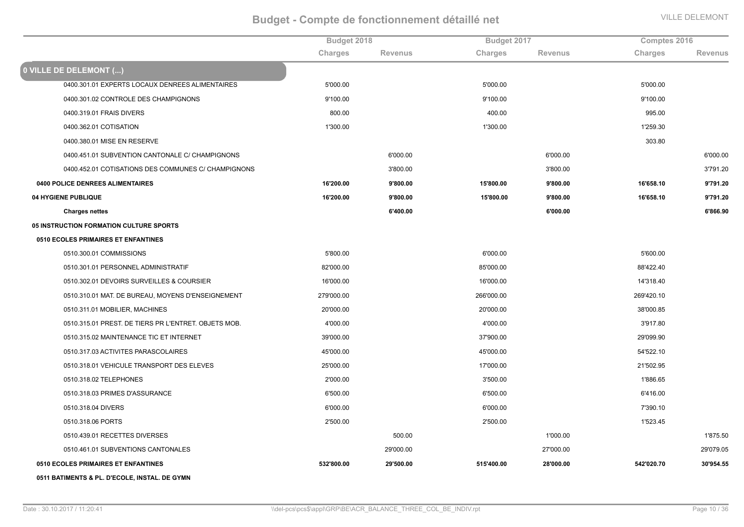|                                                      | Budget 2018 |                | Budget 2017 |                | Comptes 2016 |                |
|------------------------------------------------------|-------------|----------------|-------------|----------------|--------------|----------------|
|                                                      | Charges     | <b>Revenus</b> | Charges     | <b>Revenus</b> | Charges      | <b>Revenus</b> |
| 0 VILLE DE DELEMONT ()                               |             |                |             |                |              |                |
| 0400.301.01 EXPERTS LOCAUX DENREES ALIMENTAIRES      | 5'000.00    |                | 5'000.00    |                | 5'000.00     |                |
| 0400.301.02 CONTROLE DES CHAMPIGNONS                 | 9'100.00    |                | 9'100.00    |                | 9'100.00     |                |
| 0400.319.01 FRAIS DIVERS                             | 800.00      |                | 400.00      |                | 995.00       |                |
| 0400.362.01 COTISATION                               | 1'300.00    |                | 1'300.00    |                | 1'259.30     |                |
| 0400.380.01 MISE EN RESERVE                          |             |                |             |                | 303.80       |                |
| 0400.451.01 SUBVENTION CANTONALE C/ CHAMPIGNONS      |             | 6'000.00       |             | 6'000.00       |              | 6'000.00       |
| 0400.452.01 COTISATIONS DES COMMUNES C/ CHAMPIGNONS  |             | 3'800.00       |             | 3'800.00       |              | 3'791.20       |
| 0400 POLICE DENREES ALIMENTAIRES                     | 16'200.00   | 9'800.00       | 15'800.00   | 9'800.00       | 16'658.10    | 9'791.20       |
| 04 HYGIENE PUBLIQUE                                  | 16'200.00   | 9'800.00       | 15'800.00   | 9'800.00       | 16'658.10    | 9'791.20       |
| <b>Charges nettes</b>                                |             | 6'400.00       |             | 6'000.00       |              | 6'866.90       |
| 05 INSTRUCTION FORMATION CULTURE SPORTS              |             |                |             |                |              |                |
| 0510 ECOLES PRIMAIRES ET ENFANTINES                  |             |                |             |                |              |                |
| 0510.300.01 COMMISSIONS                              | 5'800.00    |                | 6'000.00    |                | 5'600.00     |                |
| 0510.301.01 PERSONNEL ADMINISTRATIF                  | 82'000.00   |                | 85'000.00   |                | 88'422.40    |                |
| 0510.302.01 DEVOIRS SURVEILLES & COURSIER            | 16'000.00   |                | 16'000.00   |                | 14'318.40    |                |
| 0510.310.01 MAT. DE BUREAU, MOYENS D'ENSEIGNEMENT    | 279'000.00  |                | 266'000.00  |                | 269'420.10   |                |
| 0510.311.01 MOBILIER, MACHINES                       | 20'000.00   |                | 20'000.00   |                | 38'000.85    |                |
| 0510.315.01 PREST. DE TIERS PR L'ENTRET. OBJETS MOB. | 4'000.00    |                | 4'000.00    |                | 3'917.80     |                |
| 0510.315.02 MAINTENANCE TIC ET INTERNET              | 39'000.00   |                | 37'900.00   |                | 29'099.90    |                |
| 0510.317.03 ACTIVITES PARASCOLAIRES                  | 45'000.00   |                | 45'000.00   |                | 54'522.10    |                |
| 0510.318.01 VEHICULE TRANSPORT DES ELEVES            | 25'000.00   |                | 17'000.00   |                | 21'502.95    |                |
| 0510.318.02 TELEPHONES                               | 2'000.00    |                | 3'500.00    |                | 1'886.65     |                |
| 0510.318.03 PRIMES D'ASSURANCE                       | 6'500.00    |                | 6'500.00    |                | 6'416.00     |                |
| 0510.318.04 DIVERS                                   | 6'000.00    |                | 6'000.00    |                | 7'390.10     |                |
| 0510.318.06 PORTS                                    | 2'500.00    |                | 2'500.00    |                | 1'523.45     |                |
| 0510.439.01 RECETTES DIVERSES                        |             | 500.00         |             | 1'000.00       |              | 1'875.50       |
| 0510.461.01 SUBVENTIONS CANTONALES                   |             | 29'000.00      |             | 27'000.00      |              | 29'079.05      |
| 0510 ECOLES PRIMAIRES ET ENFANTINES                  | 532'800.00  | 29'500.00      | 515'400.00  | 28'000.00      | 542'020.70   | 30'954.55      |
| 0511 BATIMENTS & PL. D'ECOLE, INSTAL. DE GYMN        |             |                |             |                |              |                |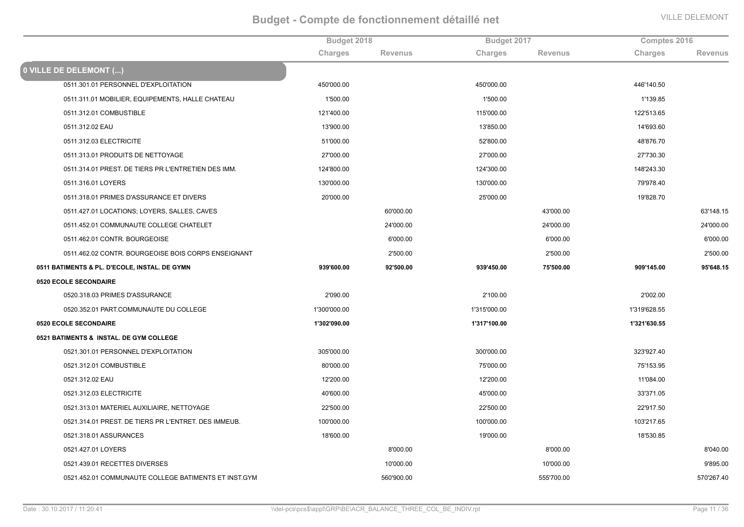|                                                      | Budget 2018  |                |              | Budget 2017    |              | Comptes 2016   |  |
|------------------------------------------------------|--------------|----------------|--------------|----------------|--------------|----------------|--|
|                                                      | Charges      | <b>Revenus</b> | Charges      | <b>Revenus</b> | Charges      | <b>Revenus</b> |  |
| 0 VILLE DE DELEMONT ()                               |              |                |              |                |              |                |  |
| 0511.301.01 PERSONNEL D'EXPLOITATION                 | 450'000.00   |                | 450'000.00   |                | 446'140.50   |                |  |
| 0511.311.01 MOBILIER, EQUIPEMENTS, HALLE CHATEAU     | 1'500.00     |                | 1'500.00     |                | 1'139.85     |                |  |
| 0511.312.01 COMBUSTIBLE                              | 121'400.00   |                | 115'000.00   |                | 122'513.65   |                |  |
| 0511.312.02 EAU                                      | 13'900.00    |                | 13'850.00    |                | 14'693.60    |                |  |
| 0511.312.03 ELECTRICITE                              | 51'000.00    |                | 52'800.00    |                | 48'876.70    |                |  |
| 0511.313.01 PRODUITS DE NETTOYAGE                    | 27'000.00    |                | 27'000.00    |                | 27'730.30    |                |  |
| 0511.314.01 PREST. DE TIERS PR L'ENTRETIEN DES IMM.  | 124'800.00   |                | 124'300.00   |                | 148'243.30   |                |  |
| 0511.316.01 LOYERS                                   | 130'000.00   |                | 130'000.00   |                | 79'978.40    |                |  |
| 0511.318.01 PRIMES D'ASSURANCE ET DIVERS             | 20'000.00    |                | 25'000.00    |                | 19'828.70    |                |  |
| 0511.427.01 LOCATIONS; LOYERS, SALLES, CAVES         |              | 60'000.00      |              | 43'000.00      |              | 63'148.15      |  |
| 0511.452.01 COMMUNAUTE COLLEGE CHATELET              |              | 24'000.00      |              | 24'000.00      |              | 24'000.00      |  |
| 0511.462.01 CONTR. BOURGEOISE                        |              | 6'000.00       |              | 6'000.00       |              | 6'000.00       |  |
| 0511.462.02 CONTR. BOURGEOISE BOIS CORPS ENSEIGNANT  |              | 2'500.00       |              | 2'500.00       |              | 2'500.00       |  |
| 0511 BATIMENTS & PL. D'ECOLE, INSTAL. DE GYMN        | 939'600.00   | 92'500.00      | 939'450.00   | 75'500.00      | 909'145.00   | 95'648.15      |  |
| 0520 ECOLE SECONDAIRE                                |              |                |              |                |              |                |  |
| 0520.318.03 PRIMES D'ASSURANCE                       | 2'090.00     |                | 2'100.00     |                | 2'002.00     |                |  |
| 0520.352.01 PART.COMMUNAUTE DU COLLEGE               | 1'300'000.00 |                | 1'315'000.00 |                | 1'319'628.55 |                |  |
| <b>0520 ECOLE SECONDAIRE</b>                         | 1'302'090.00 |                | 1'317'100.00 |                | 1'321'630.55 |                |  |
| 0521 BATIMENTS & INSTAL. DE GYM COLLEGE              |              |                |              |                |              |                |  |
| 0521.301.01 PERSONNEL D'EXPLOITATION                 | 305'000.00   |                | 300'000.00   |                | 323'927.40   |                |  |
| 0521.312.01 COMBUSTIBLE                              | 80'000.00    |                | 75'000.00    |                | 75'153.95    |                |  |
| 0521.312.02 EAU                                      | 12'200.00    |                | 12'200.00    |                | 11'084.00    |                |  |
| 0521.312.03 ELECTRICITE                              | 40'600.00    |                | 45'000.00    |                | 33'371.05    |                |  |
| 0521.313.01 MATERIEL AUXILIAIRE, NETTOYAGE           | 22'500.00    |                | 22'500.00    |                | 22'917.50    |                |  |
| 0521.314.01 PREST. DE TIERS PR L'ENTRET. DES IMMEUB. | 100'000.00   |                | 100'000.00   |                | 103'217.65   |                |  |
| 0521.318.01 ASSURANCES                               | 18'600.00    |                | 19'000.00    |                | 18'530.85    |                |  |
| 0521.427.01 LOYERS                                   |              | 8'000.00       |              | 8'000.00       |              | 8'040.00       |  |
| 0521.439.01 RECETTES DIVERSES                        |              | 10'000.00      |              | 10'000.00      |              | 9'895.00       |  |
| 0521.452.01 COMMUNAUTE COLLEGE BATIMENTS ET INST.GYM |              | 560'900.00     |              | 555'700.00     |              | 570'267.40     |  |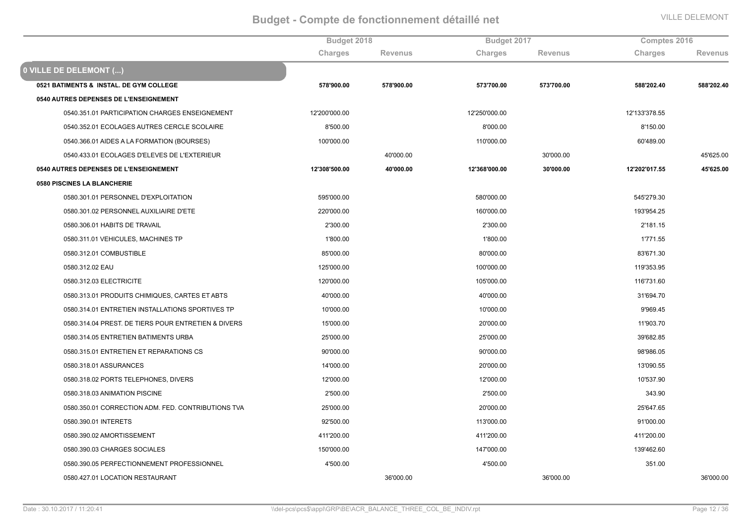|                                                     | Budget 2018   |                | Budget 2017   |                | Comptes 2016  |                |
|-----------------------------------------------------|---------------|----------------|---------------|----------------|---------------|----------------|
|                                                     | Charges       | <b>Revenus</b> | Charges       | <b>Revenus</b> | Charges       | <b>Revenus</b> |
| 0 VILLE DE DELEMONT ()                              |               |                |               |                |               |                |
| 0521 BATIMENTS & INSTAL. DE GYM COLLEGE             | 578'900.00    | 578'900.00     | 573'700.00    | 573'700.00     | 588'202.40    | 588'202.40     |
| 0540 AUTRES DEPENSES DE L'ENSEIGNEMENT              |               |                |               |                |               |                |
| 0540.351.01 PARTICIPATION CHARGES ENSEIGNEMENT      | 12'200'000.00 |                | 12'250'000.00 |                | 12'133'378.55 |                |
| 0540.352.01 ECOLAGES AUTRES CERCLE SCOLAIRE         | 8'500.00      |                | 8'000.00      |                | 8'150.00      |                |
| 0540.366.01 AIDES A LA FORMATION (BOURSES)          | 100'000.00    |                | 110'000.00    |                | 60'489.00     |                |
| 0540.433.01 ECOLAGES D'ELEVES DE L'EXTERIEUR        |               | 40'000.00      |               | 30'000.00      |               | 45'625.00      |
| 0540 AUTRES DEPENSES DE L'ENSEIGNEMENT              | 12'308'500.00 | 40'000.00      | 12'368'000.00 | 30'000.00      | 12'202'017.55 | 45'625.00      |
| 0580 PISCINES LA BLANCHERIE                         |               |                |               |                |               |                |
| 0580.301.01 PERSONNEL D'EXPLOITATION                | 595'000.00    |                | 580'000.00    |                | 545'279.30    |                |
| 0580.301.02 PERSONNEL AUXILIAIRE D'ETE              | 220'000.00    |                | 160'000.00    |                | 193'954.25    |                |
| 0580.306.01 HABITS DE TRAVAIL                       | 2'300.00      |                | 2'300.00      |                | 2'181.15      |                |
| 0580.311.01 VEHICULES, MACHINES TP                  | 1'800.00      |                | 1'800.00      |                | 1'771.55      |                |
| 0580.312.01 COMBUSTIBLE                             | 85'000.00     |                | 80'000.00     |                | 83'671.30     |                |
| 0580.312.02 EAU                                     | 125'000.00    |                | 100'000.00    |                | 119'353.95    |                |
| 0580.312.03 ELECTRICITE                             | 120'000.00    |                | 105'000.00    |                | 116'731.60    |                |
| 0580.313.01 PRODUITS CHIMIQUES, CARTES ET ABTS      | 40'000.00     |                | 40'000.00     |                | 31'694.70     |                |
| 0580.314.01 ENTRETIEN INSTALLATIONS SPORTIVES TP    | 10'000.00     |                | 10'000.00     |                | 9'969.45      |                |
| 0580.314.04 PREST. DE TIERS POUR ENTRETIEN & DIVERS | 15'000.00     |                | 20'000.00     |                | 11'903.70     |                |
| 0580.314.05 ENTRETIEN BATIMENTS URBA                | 25'000.00     |                | 25'000.00     |                | 39'682.85     |                |
| 0580.315.01 ENTRETIEN ET REPARATIONS CS             | 90'000.00     |                | 90'000.00     |                | 98'986.05     |                |
| 0580.318.01 ASSURANCES                              | 14'000.00     |                | 20'000.00     |                | 13'090.55     |                |
| 0580.318.02 PORTS TELEPHONES, DIVERS                | 12'000.00     |                | 12'000.00     |                | 10'537.90     |                |
| 0580.318.03 ANIMATION PISCINE                       | 2'500.00      |                | 2'500.00      |                | 343.90        |                |
| 0580.350.01 CORRECTION ADM. FED. CONTRIBUTIONS TVA  | 25'000.00     |                | 20'000.00     |                | 25'647.65     |                |
| 0580.390.01 INTERETS                                | 92'500.00     |                | 113'000.00    |                | 91'000.00     |                |
| 0580.390.02 AMORTISSEMENT                           | 411'200.00    |                | 411'200.00    |                | 411'200.00    |                |
| 0580.390.03 CHARGES SOCIALES                        | 150'000.00    |                | 147'000.00    |                | 139'462.60    |                |
| 0580.390.05 PERFECTIONNEMENT PROFESSIONNEL          | 4'500.00      |                | 4'500.00      |                | 351.00        |                |
| 0580.427.01 LOCATION RESTAURANT                     |               | 36'000.00      |               | 36'000.00      |               | 36'000.00      |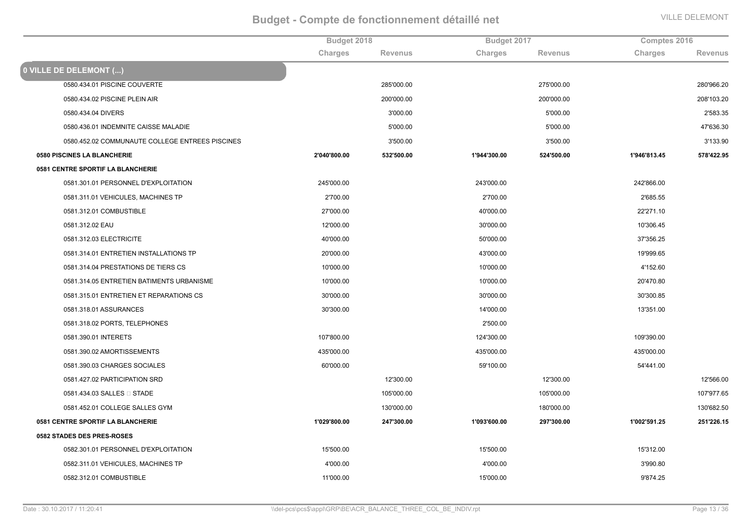|                                                 | Budget 2018  |                | Budget 2017  |                | Comptes 2016 |            |
|-------------------------------------------------|--------------|----------------|--------------|----------------|--------------|------------|
|                                                 | Charges      | <b>Revenus</b> | Charges      | <b>Revenus</b> | Charges      | Revenus    |
| 0 VILLE DE DELEMONT ()                          |              |                |              |                |              |            |
| 0580.434.01 PISCINE COUVERTE                    |              | 285'000.00     |              | 275'000.00     |              | 280'966.20 |
| 0580.434.02 PISCINE PLEIN AIR                   |              | 200'000.00     |              | 200'000.00     |              | 208'103.20 |
| 0580.434.04 DIVERS                              |              | 3'000.00       |              | 5'000.00       |              | 2'583.35   |
| 0580.436.01 INDEMNITE CAISSE MALADIE            |              | 5'000.00       |              | 5'000.00       |              | 47'636.30  |
| 0580.452.02 COMMUNAUTE COLLEGE ENTREES PISCINES |              | 3'500.00       |              | 3'500.00       |              | 3'133.90   |
| 0580 PISCINES LA BLANCHERIE                     | 2'040'800.00 | 532'500.00     | 1'944'300.00 | 524'500.00     | 1'946'813.45 | 578'422.95 |
| 0581 CENTRE SPORTIF LA BLANCHERIE               |              |                |              |                |              |            |
| 0581.301.01 PERSONNEL D'EXPLOITATION            | 245'000.00   |                | 243'000.00   |                | 242'866.00   |            |
| 0581.311.01 VEHICULES, MACHINES TP              | 2'700.00     |                | 2'700.00     |                | 2'685.55     |            |
| 0581.312.01 COMBUSTIBLE                         | 27'000.00    |                | 40'000.00    |                | 22'271.10    |            |
| 0581.312.02 EAU                                 | 12'000.00    |                | 30'000.00    |                | 10'306.45    |            |
| 0581.312.03 ELECTRICITE                         | 40'000.00    |                | 50'000.00    |                | 37'356.25    |            |
| 0581.314.01 ENTRETIEN INSTALLATIONS TP          | 20'000.00    |                | 43'000.00    |                | 19'999.65    |            |
| 0581.314.04 PRESTATIONS DE TIERS CS             | 10'000.00    |                | 10'000.00    |                | 4'152.60     |            |
| 0581.314.05 ENTRETIEN BATIMENTS URBANISME       | 10'000.00    |                | 10'000.00    |                | 20'470.80    |            |
| 0581.315.01 ENTRETIEN ET REPARATIONS CS         | 30'000.00    |                | 30'000.00    |                | 30'300.85    |            |
| 0581.318.01 ASSURANCES                          | 30'300.00    |                | 14'000.00    |                | 13'351.00    |            |
| 0581.318.02 PORTS, TELEPHONES                   |              |                | 2'500.00     |                |              |            |
| 0581.390.01 INTERETS                            | 107'800.00   |                | 124'300.00   |                | 109'390.00   |            |
| 0581.390.02 AMORTISSEMENTS                      | 435'000.00   |                | 435'000.00   |                | 435'000.00   |            |
| 0581.390.03 CHARGES SOCIALES                    | 60'000.00    |                | 59'100.00    |                | 54'441.00    |            |
| 0581.427.02 PARTICIPATION SRD                   |              | 12'300.00      |              | 12'300.00      |              | 12'566.00  |
| 0581.434.03 SALLES □ STADE                      |              | 105'000.00     |              | 105'000.00     |              | 107'977.65 |
| 0581.452.01 COLLEGE SALLES GYM                  |              | 130'000.00     |              | 180'000.00     |              | 130'682.50 |
| 0581 CENTRE SPORTIF LA BLANCHERIE               | 1'029'800.00 | 247'300.00     | 1'093'600.00 | 297'300.00     | 1'002'591.25 | 251'226.15 |
| 0582 STADES DES PRES-ROSES                      |              |                |              |                |              |            |
| 0582.301.01 PERSONNEL D'EXPLOITATION            | 15'500.00    |                | 15'500.00    |                | 15'312.00    |            |
| 0582.311.01 VEHICULES, MACHINES TP              | 4'000.00     |                | 4'000.00     |                | 3'990.80     |            |
| 0582.312.01 COMBUSTIBLE                         | 11'000.00    |                | 15'000.00    |                | 9'874.25     |            |
|                                                 |              |                |              |                |              |            |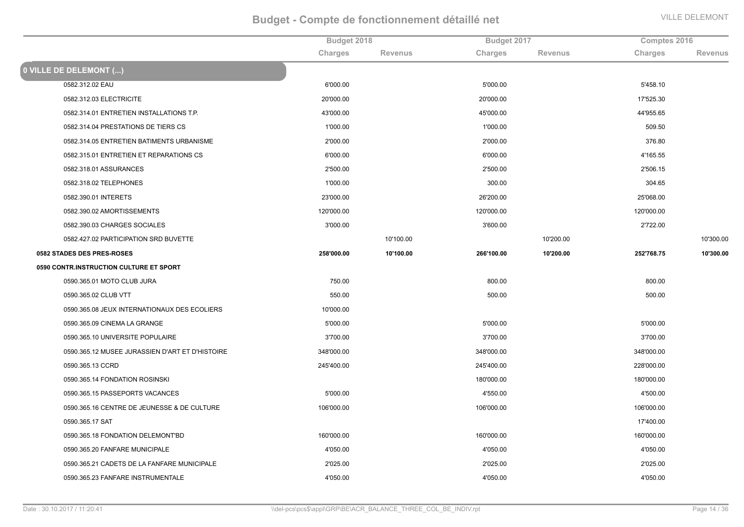|                                                 | Budget 2018 |                | Budget 2017 |                | Comptes 2016 |                |
|-------------------------------------------------|-------------|----------------|-------------|----------------|--------------|----------------|
|                                                 | Charges     | <b>Revenus</b> | Charges     | <b>Revenus</b> | Charges      | <b>Revenus</b> |
| 0 VILLE DE DELEMONT ()                          |             |                |             |                |              |                |
| 0582.312.02 EAU                                 | 6'000.00    |                | 5'000.00    |                | 5'458.10     |                |
| 0582.312.03 ELECTRICITE                         | 20'000.00   |                | 20'000.00   |                | 17'525.30    |                |
| 0582.314.01 ENTRETIEN INSTALLATIONS T.P.        | 43'000.00   |                | 45'000.00   |                | 44'955.65    |                |
| 0582.314.04 PRESTATIONS DE TIERS CS             | 1'000.00    |                | 1'000.00    |                | 509.50       |                |
| 0582.314.05 ENTRETIEN BATIMENTS URBANISME       | 2'000.00    |                | 2'000.00    |                | 376.80       |                |
| 0582.315.01 ENTRETIEN ET REPARATIONS CS         | 6'000.00    |                | 6'000.00    |                | 4'165.55     |                |
| 0582.318.01 ASSURANCES                          | 2'500.00    |                | 2'500.00    |                | 2'506.15     |                |
| 0582.318.02 TELEPHONES                          | 1'000.00    |                | 300.00      |                | 304.65       |                |
| 0582.390.01 INTERETS                            | 23'000.00   |                | 26'200.00   |                | 25'068.00    |                |
| 0582.390.02 AMORTISSEMENTS                      | 120'000.00  |                | 120'000.00  |                | 120'000.00   |                |
| 0582.390.03 CHARGES SOCIALES                    | 3'000.00    |                | 3'600.00    |                | 2'722.00     |                |
| 0582.427.02 PARTICIPATION SRD BUVETTE           |             | 10'100.00      |             | 10'200.00      |              | 10'300.00      |
| 0582 STADES DES PRES-ROSES                      | 258'000.00  | 10'100.00      | 266'100.00  | 10'200.00      | 252'768.75   | 10'300.00      |
| 0590 CONTR.INSTRUCTION CULTURE ET SPORT         |             |                |             |                |              |                |
| 0590.365.01 MOTO CLUB JURA                      | 750.00      |                | 800.00      |                | 800.00       |                |
| 0590.365.02 CLUB VTT                            | 550.00      |                | 500.00      |                | 500.00       |                |
| 0590.365.08 JEUX INTERNATIONAUX DES ECOLIERS    | 10'000.00   |                |             |                |              |                |
| 0590.365.09 CINEMA LA GRANGE                    | 5'000.00    |                | 5'000.00    |                | 5'000.00     |                |
| 0590.365.10 UNIVERSITE POPULAIRE                | 3'700.00    |                | 3'700.00    |                | 3'700.00     |                |
| 0590.365.12 MUSEE JURASSIEN D'ART ET D'HISTOIRE | 348'000.00  |                | 348'000.00  |                | 348'000.00   |                |
| 0590.365.13 CCRD                                | 245'400.00  |                | 245'400.00  |                | 228'000.00   |                |
| 0590.365.14 FONDATION ROSINSKI                  |             |                | 180'000.00  |                | 180'000.00   |                |
| 0590.365.15 PASSEPORTS VACANCES                 | 5'000.00    |                | 4'550.00    |                | 4'500.00     |                |
| 0590.365.16 CENTRE DE JEUNESSE & DE CULTURE     | 106'000.00  |                | 106'000.00  |                | 106'000.00   |                |
| 0590.365.17 SAT                                 |             |                |             |                | 17'400.00    |                |
| 0590.365.18 FONDATION DELEMONT'BD               | 160'000.00  |                | 160'000.00  |                | 160'000.00   |                |
| 0590.365.20 FANFARE MUNICIPALE                  | 4'050.00    |                | 4'050.00    |                | 4'050.00     |                |
| 0590.365.21 CADETS DE LA FANFARE MUNICIPALE     | 2'025.00    |                | 2'025.00    |                | 2'025.00     |                |
| 0590.365.23 FANFARE INSTRUMENTALE               | 4'050.00    |                | 4'050.00    |                | 4'050.00     |                |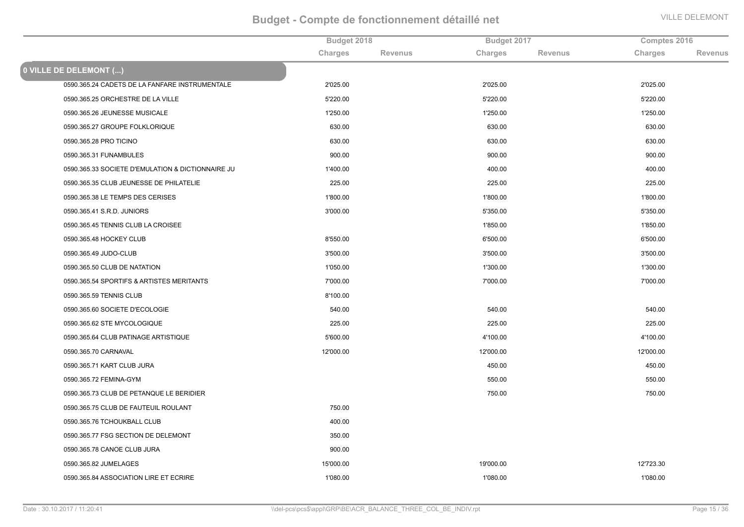|                                                   | Budget 2018 |                | Budget 2017 |                | Comptes 2016 |                |
|---------------------------------------------------|-------------|----------------|-------------|----------------|--------------|----------------|
|                                                   | Charges     | <b>Revenus</b> | Charges     | <b>Revenus</b> | Charges      | <b>Revenus</b> |
| 0 VILLE DE DELEMONT ()                            |             |                |             |                |              |                |
| 0590.365.24 CADETS DE LA FANFARE INSTRUMENTALE    | 2'025.00    |                | 2'025.00    |                | 2'025.00     |                |
| 0590.365.25 ORCHESTRE DE LA VILLE                 | 5'220.00    |                | 5'220.00    |                | 5'220.00     |                |
| 0590.365.26 JEUNESSE MUSICALE                     | 1'250.00    |                | 1'250.00    |                | 1'250.00     |                |
| 0590.365.27 GROUPE FOLKLORIQUE                    | 630.00      |                | 630.00      |                | 630.00       |                |
| 0590.365.28 PRO TICINO                            | 630.00      |                | 630.00      |                | 630.00       |                |
| 0590.365.31 FUNAMBULES                            | 900.00      |                | 900.00      |                | 900.00       |                |
| 0590.365.33 SOCIETE D'EMULATION & DICTIONNAIRE JU | 1'400.00    |                | 400.00      |                | 400.00       |                |
| 0590.365.35 CLUB JEUNESSE DE PHILATELIE           | 225.00      |                | 225.00      |                | 225.00       |                |
| 0590.365.38 LE TEMPS DES CERISES                  | 1'800.00    |                | 1'800.00    |                | 1'800.00     |                |
| 0590.365.41 S.R.D. JUNIORS                        | 3'000.00    |                | 5'350.00    |                | 5'350.00     |                |
| 0590.365.45 TENNIS CLUB LA CROISEE                |             |                | 1'850.00    |                | 1'850.00     |                |
| 0590.365.48 HOCKEY CLUB                           | 8'550.00    |                | 6'500.00    |                | 6'500.00     |                |
| 0590.365.49 JUDO-CLUB                             | 3'500.00    |                | 3'500.00    |                | 3'500.00     |                |
| 0590.365.50 CLUB DE NATATION                      | 1'050.00    |                | 1'300.00    |                | 1'300.00     |                |
| 0590.365.54 SPORTIFS & ARTISTES MERITANTS         | 7'000.00    |                | 7'000.00    |                | 7'000.00     |                |
| 0590.365.59 TENNIS CLUB                           | 8'100.00    |                |             |                |              |                |
| 0590.365.60 SOCIETE D'ECOLOGIE                    | 540.00      |                | 540.00      |                | 540.00       |                |
| 0590.365.62 STE MYCOLOGIQUE                       | 225.00      |                | 225.00      |                | 225.00       |                |
| 0590.365.64 CLUB PATINAGE ARTISTIQUE              | 5'600.00    |                | 4'100.00    |                | 4'100.00     |                |
| 0590.365.70 CARNAVAL                              | 12'000.00   |                | 12'000.00   |                | 12'000.00    |                |
| 0590.365.71 KART CLUB JURA                        |             |                | 450.00      |                | 450.00       |                |
| 0590.365.72 FEMINA-GYM                            |             |                | 550.00      |                | 550.00       |                |
| 0590.365.73 CLUB DE PETANQUE LE BERIDIER          |             |                | 750.00      |                | 750.00       |                |
| 0590.365.75 CLUB DE FAUTEUIL ROULANT              | 750.00      |                |             |                |              |                |
| 0590.365.76 TCHOUKBALL CLUB                       | 400.00      |                |             |                |              |                |
| 0590.365.77 FSG SECTION DE DELEMONT               | 350.00      |                |             |                |              |                |
| 0590.365.78 CANOE CLUB JURA                       | 900.00      |                |             |                |              |                |
| 0590.365.82 JUMELAGES                             | 15'000.00   |                | 19'000.00   |                | 12'723.30    |                |
| 0590.365.84 ASSOCIATION LIRE ET ECRIRE            | 1'080.00    |                | 1'080.00    |                | 1'080.00     |                |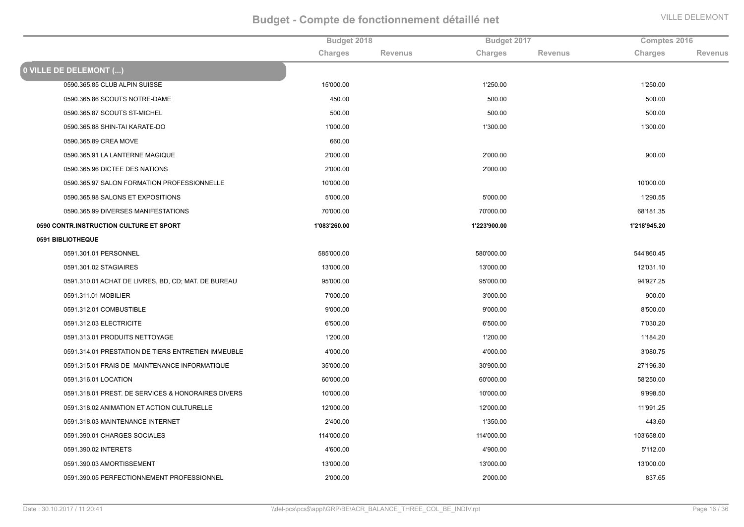|                                                     | Budget 2018  |                | Budget 2017  |                | Comptes 2016 |                |
|-----------------------------------------------------|--------------|----------------|--------------|----------------|--------------|----------------|
|                                                     | Charges      | <b>Revenus</b> | Charges      | <b>Revenus</b> | Charges      | <b>Revenus</b> |
| 0 VILLE DE DELEMONT ()                              |              |                |              |                |              |                |
| 0590.365.85 CLUB ALPIN SUISSE                       | 15'000.00    |                | 1'250.00     |                | 1'250.00     |                |
| 0590.365.86 SCOUTS NOTRE-DAME                       | 450.00       |                | 500.00       |                | 500.00       |                |
| 0590.365.87 SCOUTS ST-MICHEL                        | 500.00       |                | 500.00       |                | 500.00       |                |
| 0590.365.88 SHIN-TAI KARATE-DO                      | 1'000.00     |                | 1'300.00     |                | 1'300.00     |                |
| 0590.365.89 CREA MOVE                               | 660.00       |                |              |                |              |                |
| 0590.365.91 LA LANTERNE MAGIQUE                     | 2'000.00     |                | 2'000.00     |                | 900.00       |                |
| 0590.365.96 DICTEE DES NATIONS                      | 2'000.00     |                | 2'000.00     |                |              |                |
| 0590.365.97 SALON FORMATION PROFESSIONNELLE         | 10'000.00    |                |              |                | 10'000.00    |                |
| 0590.365.98 SALONS ET EXPOSITIONS                   | 5'000.00     |                | 5'000.00     |                | 1'290.55     |                |
| 0590.365.99 DIVERSES MANIFESTATIONS                 | 70'000.00    |                | 70'000.00    |                | 68'181.35    |                |
| 0590 CONTR.INSTRUCTION CULTURE ET SPORT             | 1'083'260.00 |                | 1'223'900.00 |                | 1'218'945.20 |                |
| 0591 BIBLIOTHEQUE                                   |              |                |              |                |              |                |
| 0591.301.01 PERSONNEL                               | 585'000.00   |                | 580'000.00   |                | 544'860.45   |                |
| 0591.301.02 STAGIAIRES                              | 13'000.00    |                | 13'000.00    |                | 12'031.10    |                |
| 0591.310.01 ACHAT DE LIVRES, BD, CD; MAT. DE BUREAU | 95'000.00    |                | 95'000.00    |                | 94'927.25    |                |
| 0591.311.01 MOBILIER                                | 7'000.00     |                | 3'000.00     |                | 900.00       |                |
| 0591.312.01 COMBUSTIBLE                             | 9'000.00     |                | 9'000.00     |                | 8'500.00     |                |
| 0591.312.03 ELECTRICITE                             | 6'500.00     |                | 6'500.00     |                | 7'030.20     |                |
| 0591.313.01 PRODUITS NETTOYAGE                      | 1'200.00     |                | 1'200.00     |                | 1'184.20     |                |
| 0591.314.01 PRESTATION DE TIERS ENTRETIEN IMMEUBLE  | 4'000.00     |                | 4'000.00     |                | 3'080.75     |                |
| 0591.315.01 FRAIS DE MAINTENANCE INFORMATIQUE       | 35'000.00    |                | 30'900.00    |                | 27'196.30    |                |
| 0591.316.01 LOCATION                                | 60'000.00    |                | 60'000.00    |                | 58'250.00    |                |
| 0591.318.01 PREST. DE SERVICES & HONORAIRES DIVERS  | 10'000.00    |                | 10'000.00    |                | 9'998.50     |                |
| 0591.318.02 ANIMATION ET ACTION CULTURELLE          | 12'000.00    |                | 12'000.00    |                | 11'991.25    |                |
| 0591.318.03 MAINTENANCE INTERNET                    | 2'400.00     |                | 1'350.00     |                | 443.60       |                |
| 0591.390.01 CHARGES SOCIALES                        | 114'000.00   |                | 114'000.00   |                | 103'658.00   |                |
| 0591.390.02 INTERETS                                | 4'600.00     |                | 4'900.00     |                | 5'112.00     |                |
| 0591.390.03 AMORTISSEMENT                           | 13'000.00    |                | 13'000.00    |                | 13'000.00    |                |
| 0591.390.05 PERFECTIONNEMENT PROFESSIONNEL          | 2'000.00     |                | 2'000.00     |                | 837.65       |                |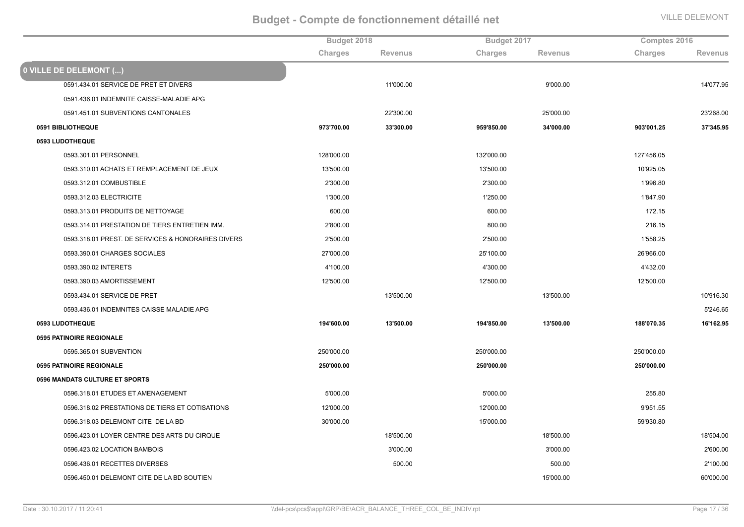|                                                    | Budget 2018 |                | Budget 2017 |                | Comptes 2016 |                |
|----------------------------------------------------|-------------|----------------|-------------|----------------|--------------|----------------|
|                                                    | Charges     | <b>Revenus</b> | Charges     | <b>Revenus</b> | Charges      | <b>Revenus</b> |
| 0 VILLE DE DELEMONT ()                             |             |                |             |                |              |                |
| 0591.434.01 SERVICE DE PRET ET DIVERS              |             | 11'000.00      |             | 9'000.00       |              | 14'077.95      |
| 0591.436.01 INDEMNITE CAISSE-MALADIE APG           |             |                |             |                |              |                |
| 0591.451.01 SUBVENTIONS CANTONALES                 |             | 22'300.00      |             | 25'000.00      |              | 23'268.00      |
| 0591 BIBLIOTHEQUE                                  | 973'700.00  | 33'300.00      | 959'850.00  | 34'000.00      | 903'001.25   | 37'345.95      |
| 0593 LUDOTHEQUE                                    |             |                |             |                |              |                |
| 0593.301.01 PERSONNEL                              | 128'000.00  |                | 132'000.00  |                | 127'456.05   |                |
| 0593.310.01 ACHATS ET REMPLACEMENT DE JEUX         | 13'500.00   |                | 13'500.00   |                | 10'925.05    |                |
| 0593.312.01 COMBUSTIBLE                            | 2'300.00    |                | 2'300.00    |                | 1'996.80     |                |
| 0593.312.03 ELECTRICITE                            | 1'300.00    |                | 1'250.00    |                | 1'847.90     |                |
| 0593.313.01 PRODUITS DE NETTOYAGE                  | 600.00      |                | 600.00      |                | 172.15       |                |
| 0593.314.01 PRESTATION DE TIERS ENTRETIEN IMM.     | 2'800.00    |                | 800.00      |                | 216.15       |                |
| 0593.318.01 PREST. DE SERVICES & HONORAIRES DIVERS | 2'500.00    |                | 2'500.00    |                | 1'558.25     |                |
| 0593.390.01 CHARGES SOCIALES                       | 27'000.00   |                | 25'100.00   |                | 26'966.00    |                |
| 0593.390.02 INTERETS                               | 4'100.00    |                | 4'300.00    |                | 4'432.00     |                |
| 0593.390.03 AMORTISSEMENT                          | 12'500.00   |                | 12'500.00   |                | 12'500.00    |                |
| 0593.434.01 SERVICE DE PRET                        |             | 13'500.00      |             | 13'500.00      |              | 10'916.30      |
| 0593.436.01 INDEMNITES CAISSE MALADIE APG          |             |                |             |                |              | 5'246.65       |
| 0593 LUDOTHEQUE                                    | 194'600.00  | 13'500.00      | 194'850.00  | 13'500.00      | 188'070.35   | 16'162.95      |
| 0595 PATINOIRE REGIONALE                           |             |                |             |                |              |                |
| 0595.365.01 SUBVENTION                             | 250'000.00  |                | 250'000.00  |                | 250'000.00   |                |
| 0595 PATINOIRE REGIONALE                           | 250'000.00  |                | 250'000.00  |                | 250'000.00   |                |
| 0596 MANDATS CULTURE ET SPORTS                     |             |                |             |                |              |                |
| 0596.318.01 ETUDES ET AMENAGEMENT                  | 5'000.00    |                | 5'000.00    |                | 255.80       |                |
| 0596.318.02 PRESTATIONS DE TIERS ET COTISATIONS    | 12'000.00   |                | 12'000.00   |                | 9'951.55     |                |
| 0596.318.03 DELEMONT CITE DE LA BD                 | 30'000.00   |                | 15'000.00   |                | 59'930.80    |                |
| 0596.423.01 LOYER CENTRE DES ARTS DU CIRQUE        |             | 18'500.00      |             | 18'500.00      |              | 18'504.00      |
| 0596.423.02 LOCATION BAMBOIS                       |             | 3'000.00       |             | 3'000.00       |              | 2'600.00       |
| 0596.436.01 RECETTES DIVERSES                      |             | 500.00         |             | 500.00         |              | 2'100.00       |
| 0596.450.01 DELEMONT CITE DE LA BD SOUTIEN         |             |                |             | 15'000.00      |              | 60'000.00      |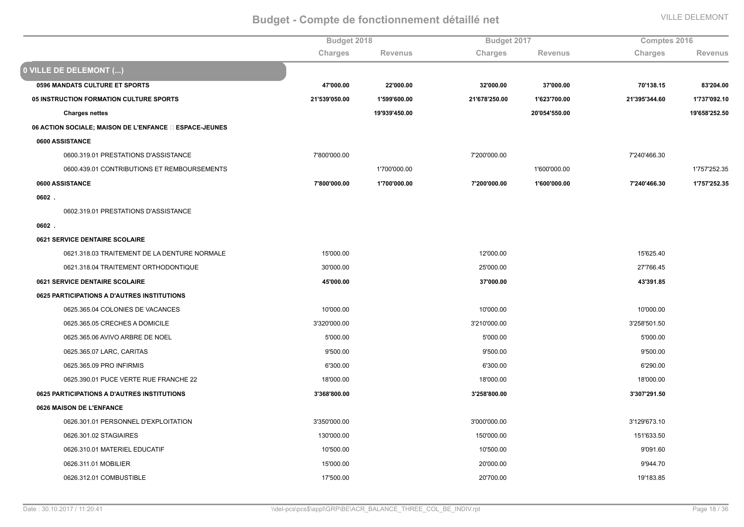|                                                       | Budget 2018   |                | Budget 2017    |                | Comptes 2016  |                |
|-------------------------------------------------------|---------------|----------------|----------------|----------------|---------------|----------------|
|                                                       | Charges       | <b>Revenus</b> | <b>Charges</b> | <b>Revenus</b> | Charges       | <b>Revenus</b> |
| 0 VILLE DE DELEMONT ()                                |               |                |                |                |               |                |
| 0596 MANDATS CULTURE ET SPORTS                        | 47'000.00     | 22'000.00      | 32'000.00      | 37'000.00      | 70'138.15     | 83'204.00      |
| 05 INSTRUCTION FORMATION CULTURE SPORTS               | 21'539'050.00 | 1'599'600.00   | 21'678'250.00  | 1'623'700.00   | 21'395'344.60 | 1'737'092.10   |
| <b>Charges nettes</b>                                 |               | 19'939'450.00  |                | 20'054'550.00  |               | 19'658'252.50  |
| 06 ACTION SOCIALE; MAISON DE L'ENFANCE DESPACE-JEUNES |               |                |                |                |               |                |
| 0600 ASSISTANCE                                       |               |                |                |                |               |                |
| 0600.319.01 PRESTATIONS D'ASSISTANCE                  | 7'800'000.00  |                | 7'200'000.00   |                | 7'240'466.30  |                |
| 0600.439.01 CONTRIBUTIONS ET REMBOURSEMENTS           |               | 1'700'000.00   |                | 1'600'000.00   |               | 1'757'252.35   |
| 0600 ASSISTANCE                                       | 7'800'000.00  | 1'700'000.00   | 7'200'000.00   | 1'600'000.00   | 7'240'466.30  | 1'757'252.35   |
| 0602.                                                 |               |                |                |                |               |                |
| 0602.319.01 PRESTATIONS D'ASSISTANCE                  |               |                |                |                |               |                |
| $0602$ .                                              |               |                |                |                |               |                |
| <b>0621 SERVICE DENTAIRE SCOLAIRE</b>                 |               |                |                |                |               |                |
| 0621.318.03 TRAITEMENT DE LA DENTURE NORMALE          | 15'000.00     |                | 12'000.00      |                | 15'625.40     |                |
| 0621.318.04 TRAITEMENT ORTHODONTIQUE                  | 30'000.00     |                | 25'000.00      |                | 27'766.45     |                |
| 0621 SERVICE DENTAIRE SCOLAIRE                        | 45'000.00     |                | 37'000.00      |                | 43'391.85     |                |
| 0625 PARTICIPATIONS A D'AUTRES INSTITUTIONS           |               |                |                |                |               |                |
| 0625.365.04 COLONIES DE VACANCES                      | 10'000.00     |                | 10'000.00      |                | 10'000.00     |                |
| 0625.365.05 CRECHES A DOMICILE                        | 3'320'000.00  |                | 3'210'000.00   |                | 3'258'501.50  |                |
| 0625.365.06 AVIVO ARBRE DE NOEL                       | 5'000.00      |                | 5'000.00       |                | 5'000.00      |                |
| 0625.365.07 LARC, CARITAS                             | 9'500.00      |                | 9'500.00       |                | 9'500.00      |                |
| 0625.365.09 PRO INFIRMIS                              | 6'300.00      |                | 6'300.00       |                | 6'290.00      |                |
| 0625.390.01 PUCE VERTE RUE FRANCHE 22                 | 18'000.00     |                | 18'000.00      |                | 18'000.00     |                |
| 0625 PARTICIPATIONS A D'AUTRES INSTITUTIONS           | 3'368'800.00  |                | 3'258'800.00   |                | 3'307'291.50  |                |
| 0626 MAISON DE L'ENFANCE                              |               |                |                |                |               |                |
| 0626.301.01 PERSONNEL D'EXPLOITATION                  | 3'350'000.00  |                | 3'000'000.00   |                | 3'129'673.10  |                |
| 0626.301.02 STAGIAIRES                                | 130'000.00    |                | 150'000.00     |                | 151'633.50    |                |
| 0626.310.01 MATERIEL EDUCATIF                         | 10'500.00     |                | 10'500.00      |                | 9'091.60      |                |
| 0626.311.01 MOBILIER                                  | 15'000.00     |                | 20'000.00      |                | 9'944.70      |                |
| 0626.312.01 COMBUSTIBLE                               | 17'500.00     |                | 20'700.00      |                | 19'183.85     |                |
|                                                       |               |                |                |                |               |                |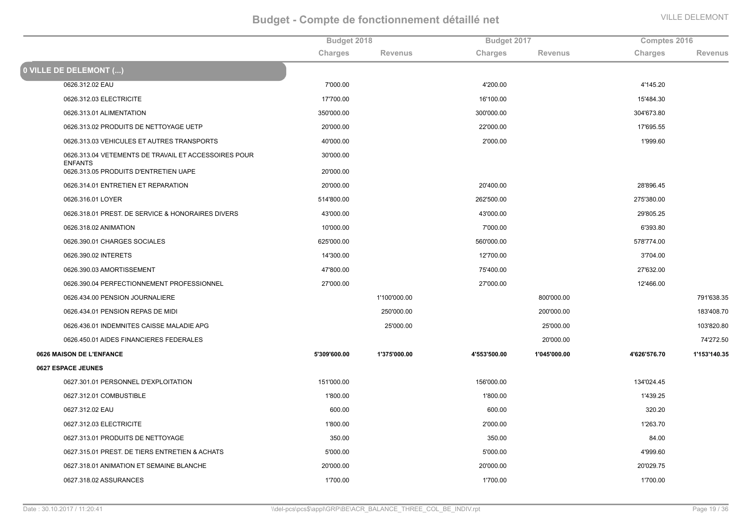|                                                                        | Budget 2018  |                | Budget 2017  |                | Comptes 2016 |                |
|------------------------------------------------------------------------|--------------|----------------|--------------|----------------|--------------|----------------|
|                                                                        | Charges      | <b>Revenus</b> | Charges      | <b>Revenus</b> | Charges      | <b>Revenus</b> |
| 0 VILLE DE DELEMONT ()                                                 |              |                |              |                |              |                |
| 0626.312.02 EAU                                                        | 7'000.00     |                | 4'200.00     |                | 4'145.20     |                |
| 0626.312.03 ELECTRICITE                                                | 17'700.00    |                | 16'100.00    |                | 15'484.30    |                |
| 0626.313.01 ALIMENTATION                                               | 350'000.00   |                | 300'000.00   |                | 304'673.80   |                |
| 0626.313.02 PRODUITS DE NETTOYAGE UETP                                 | 20'000.00    |                | 22'000.00    |                | 17'695.55    |                |
| 0626.313.03 VEHICULES ET AUTRES TRANSPORTS                             | 40'000.00    |                | 2'000.00     |                | 1'999.60     |                |
| 0626.313.04 VETEMENTS DE TRAVAIL ET ACCESSOIRES POUR<br><b>ENFANTS</b> | 30'000.00    |                |              |                |              |                |
| 0626.313.05 PRODUITS D'ENTRETIEN UAPE                                  | 20'000.00    |                |              |                |              |                |
| 0626.314.01 ENTRETIEN ET REPARATION                                    | 20'000.00    |                | 20'400.00    |                | 28'896.45    |                |
| 0626.316.01 LOYER                                                      | 514'800.00   |                | 262'500.00   |                | 275'380.00   |                |
| 0626.318.01 PREST. DE SERVICE & HONORAIRES DIVERS                      | 43'000.00    |                | 43'000.00    |                | 29'805.25    |                |
| 0626.318.02 ANIMATION                                                  | 10'000.00    |                | 7'000.00     |                | 6'393.80     |                |
| 0626.390.01 CHARGES SOCIALES                                           | 625'000.00   |                | 560'000.00   |                | 578'774.00   |                |
| 0626.390.02 INTERETS                                                   | 14'300.00    |                | 12'700.00    |                | 3'704.00     |                |
| 0626.390.03 AMORTISSEMENT                                              | 47'800.00    |                | 75'400.00    |                | 27'632.00    |                |
| 0626.390.04 PERFECTIONNEMENT PROFESSIONNEL                             | 27'000.00    |                | 27'000.00    |                | 12'466.00    |                |
| 0626.434.00 PENSION JOURNALIERE                                        |              | 1'100'000.00   |              | 800'000.00     |              | 791'638.35     |
| 0626.434.01 PENSION REPAS DE MIDI                                      |              | 250'000.00     |              | 200'000.00     |              | 183'408.70     |
| 0626.436.01 INDEMNITES CAISSE MALADIE APG                              |              | 25'000.00      |              | 25'000.00      |              | 103'820.80     |
| 0626.450.01 AIDES FINANCIERES FEDERALES                                |              |                |              | 20'000.00      |              | 74'272.50      |
| 0626 MAISON DE L'ENFANCE                                               | 5'309'600.00 | 1'375'000.00   | 4'553'500.00 | 1'045'000.00   | 4'626'576.70 | 1'153'140.35   |
| 0627 ESPACE JEUNES                                                     |              |                |              |                |              |                |
| 0627.301.01 PERSONNEL D'EXPLOITATION                                   | 151'000.00   |                | 156'000.00   |                | 134'024.45   |                |
| 0627.312.01 COMBUSTIBLE                                                | 1'800.00     |                | 1'800.00     |                | 1'439.25     |                |
| 0627.312.02 EAU                                                        | 600.00       |                | 600.00       |                | 320.20       |                |
| 0627.312.03 ELECTRICITE                                                | 1'800.00     |                | 2'000.00     |                | 1'263.70     |                |
| 0627.313.01 PRODUITS DE NETTOYAGE                                      | 350.00       |                | 350.00       |                | 84.00        |                |
| 0627.315.01 PREST. DE TIERS ENTRETIEN & ACHATS                         | 5'000.00     |                | 5'000.00     |                | 4'999.60     |                |
| 0627.318.01 ANIMATION ET SEMAINE BLANCHE                               | 20'000.00    |                | 20'000.00    |                | 20'029.75    |                |
| 0627.318.02 ASSURANCES                                                 | 1'700.00     |                | 1'700.00     |                | 1'700.00     |                |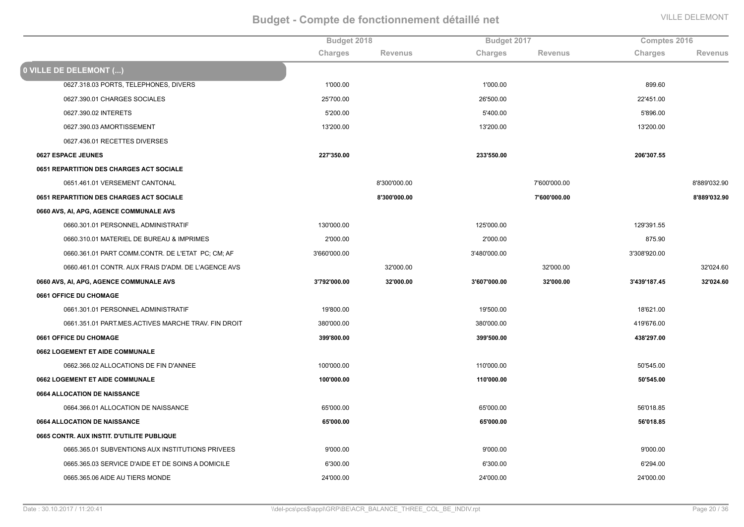|                                                     | Budget 2018  |                |              | Budget 2017    |              | Comptes 2016   |  |
|-----------------------------------------------------|--------------|----------------|--------------|----------------|--------------|----------------|--|
|                                                     | Charges      | <b>Revenus</b> | Charges      | <b>Revenus</b> | Charges      | <b>Revenus</b> |  |
| 0 VILLE DE DELEMONT ()                              |              |                |              |                |              |                |  |
| 0627.318.03 PORTS, TELEPHONES, DIVERS               | 1'000.00     |                | 1'000.00     |                | 899.60       |                |  |
| 0627.390.01 CHARGES SOCIALES                        | 25'700.00    |                | 26'500.00    |                | 22'451.00    |                |  |
| 0627.390.02 INTERETS                                | 5'200.00     |                | 5'400.00     |                | 5'896.00     |                |  |
| 0627.390.03 AMORTISSEMENT                           | 13'200.00    |                | 13'200.00    |                | 13'200.00    |                |  |
| 0627.436.01 RECETTES DIVERSES                       |              |                |              |                |              |                |  |
| 0627 ESPACE JEUNES                                  | 227'350.00   |                | 233'550.00   |                | 206'307.55   |                |  |
| <b>0651 REPARTITION DES CHARGES ACT SOCIALE</b>     |              |                |              |                |              |                |  |
| 0651.461.01 VERSEMENT CANTONAL                      |              | 8'300'000.00   |              | 7'600'000.00   |              | 8'889'032.90   |  |
| 0651 REPARTITION DES CHARGES ACT SOCIALE            |              | 8'300'000.00   |              | 7'600'000.00   |              | 8'889'032.90   |  |
| 0660 AVS, AI, APG, AGENCE COMMUNALE AVS             |              |                |              |                |              |                |  |
| 0660.301.01 PERSONNEL ADMINISTRATIF                 | 130'000.00   |                | 125'000.00   |                | 129'391.55   |                |  |
| 0660.310.01 MATERIEL DE BUREAU & IMPRIMES           | 2'000.00     |                | 2'000.00     |                | 875.90       |                |  |
| 0660.361.01 PART COMM.CONTR. DE L'ETAT PC; CM; AF   | 3'660'000.00 |                | 3'480'000.00 |                | 3'308'920.00 |                |  |
| 0660.461.01 CONTR. AUX FRAIS D'ADM. DE L'AGENCE AVS |              | 32'000.00      |              | 32'000.00      |              | 32'024.60      |  |
| 0660 AVS, AI, APG, AGENCE COMMUNALE AVS             | 3'792'000.00 | 32'000.00      | 3'607'000.00 | 32'000.00      | 3'439'187.45 | 32'024.60      |  |
| 0661 OFFICE DU CHOMAGE                              |              |                |              |                |              |                |  |
| 0661.301.01 PERSONNEL ADMINISTRATIF                 | 19'800.00    |                | 19'500.00    |                | 18'621.00    |                |  |
| 0661.351.01 PART.MES.ACTIVES MARCHE TRAV. FIN DROIT | 380'000.00   |                | 380'000.00   |                | 419'676.00   |                |  |
| 0661 OFFICE DU CHOMAGE                              | 399'800.00   |                | 399'500.00   |                | 438'297.00   |                |  |
| 0662 LOGEMENT ET AIDE COMMUNALE                     |              |                |              |                |              |                |  |
| 0662.366.02 ALLOCATIONS DE FIN D'ANNEE              | 100'000.00   |                | 110'000.00   |                | 50'545.00    |                |  |
| 0662 LOGEMENT ET AIDE COMMUNALE                     | 100'000.00   |                | 110'000.00   |                | 50'545.00    |                |  |
| 0664 ALLOCATION DE NAISSANCE                        |              |                |              |                |              |                |  |
| 0664.366.01 ALLOCATION DE NAISSANCE                 | 65'000.00    |                | 65'000.00    |                | 56'018.85    |                |  |
| 0664 ALLOCATION DE NAISSANCE                        | 65'000.00    |                | 65'000.00    |                | 56'018.85    |                |  |
| 0665 CONTR. AUX INSTIT. D'UTILITE PUBLIQUE          |              |                |              |                |              |                |  |
| 0665.365.01 SUBVENTIONS AUX INSTITUTIONS PRIVEES    | 9'000.00     |                | 9'000.00     |                | 9'000.00     |                |  |
| 0665.365.03 SERVICE D'AIDE ET DE SOINS A DOMICILE   | 6'300.00     |                | 6'300.00     |                | 6'294.00     |                |  |
| 0665.365.06 AIDE AU TIERS MONDE                     | 24'000.00    |                | 24'000.00    |                | 24'000.00    |                |  |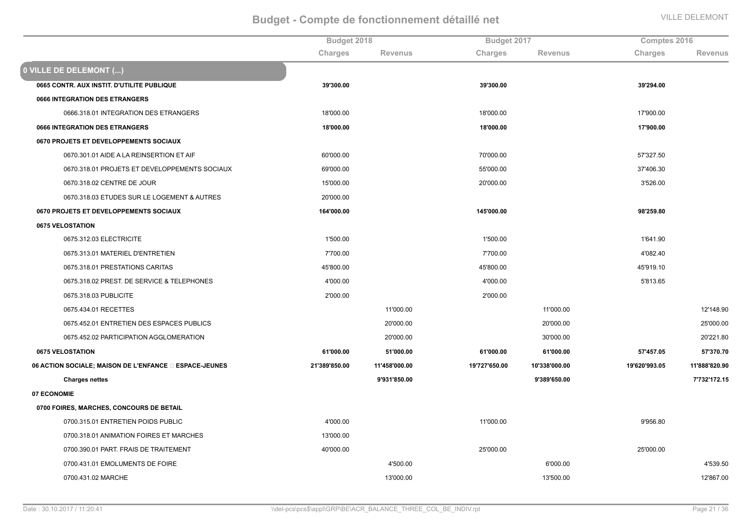|                                                       | Budget 2018   |                |               | Budget 2017    |               | Comptes 2016   |  |
|-------------------------------------------------------|---------------|----------------|---------------|----------------|---------------|----------------|--|
|                                                       | Charges       | <b>Revenus</b> | Charges       | <b>Revenus</b> | Charges       | <b>Revenus</b> |  |
| 0 VILLE DE DELEMONT ()                                |               |                |               |                |               |                |  |
| 0665 CONTR. AUX INSTIT. D'UTILITE PUBLIQUE            | 39'300.00     |                | 39'300.00     |                | 39'294.00     |                |  |
| <b>0666 INTEGRATION DES ETRANGERS</b>                 |               |                |               |                |               |                |  |
| 0666.318.01 INTEGRATION DES ETRANGERS                 | 18'000.00     |                | 18'000.00     |                | 17'900.00     |                |  |
| <b>0666 INTEGRATION DES ETRANGERS</b>                 | 18'000.00     |                | 18'000.00     |                | 17'900.00     |                |  |
| 0670 PROJETS ET DEVELOPPEMENTS SOCIAUX                |               |                |               |                |               |                |  |
| 0670.301.01 AIDE A LA REINSERTION ET AIF              | 60'000.00     |                | 70'000.00     |                | 57'327.50     |                |  |
| 0670.318.01 PROJETS ET DEVELOPPEMENTS SOCIAUX         | 69'000.00     |                | 55'000.00     |                | 37'406.30     |                |  |
| 0670.318.02 CENTRE DE JOUR                            | 15'000.00     |                | 20'000.00     |                | 3'526.00      |                |  |
| 0670.318.03 ETUDES SUR LE LOGEMENT & AUTRES           | 20'000.00     |                |               |                |               |                |  |
| 0670 PROJETS ET DEVELOPPEMENTS SOCIAUX                | 164'000.00    |                | 145'000.00    |                | 98'259.80     |                |  |
| <b>0675 VELOSTATION</b>                               |               |                |               |                |               |                |  |
| 0675.312.03 ELECTRICITE                               | 1'500.00      |                | 1'500.00      |                | 1'641.90      |                |  |
| 0675.313.01 MATERIEL D'ENTRETIEN                      | 7'700.00      |                | 7'700.00      |                | 4'082.40      |                |  |
| 0675.318.01 PRESTATIONS CARITAS                       | 45'800.00     |                | 45'800.00     |                | 45'919.10     |                |  |
| 0675.318.02 PREST. DE SERVICE & TELEPHONES            | 4'000.00      |                | 4'000.00      |                | 5'813.65      |                |  |
| 0675.318.03 PUBLICITE                                 | 2'000.00      |                | 2'000.00      |                |               |                |  |
| 0675.434.01 RECETTES                                  |               | 11'000.00      |               | 11'000.00      |               | 12'148.90      |  |
| 0675.452.01 ENTRETIEN DES ESPACES PUBLICS             |               | 20'000.00      |               | 20'000.00      |               | 25'000.00      |  |
| 0675.452.02 PARTICIPATION AGGLOMERATION               |               | 20'000.00      |               | 30'000.00      |               | 20'221.80      |  |
| 0675 VELOSTATION                                      | 61'000.00     | 51'000.00      | 61'000.00     | 61'000.00      | 57'457.05     | 57'370.70      |  |
| 06 ACTION SOCIALE; MAISON DE L'ENFANCE DESPACE-JEUNES | 21'389'850.00 | 11'458'000.00  | 19'727'650.00 | 10'338'000.00  | 19'620'993.05 | 11'888'820.90  |  |
| <b>Charges nettes</b>                                 |               | 9'931'850.00   |               | 9'389'650.00   |               | 7'732'172.15   |  |
| 07 ECONOMIE                                           |               |                |               |                |               |                |  |
| 0700 FOIRES, MARCHES, CONCOURS DE BETAIL              |               |                |               |                |               |                |  |
| 0700.315.01 ENTRETIEN POIDS PUBLIC                    | 4'000.00      |                | 11'000.00     |                | 9'956.80      |                |  |
| 0700.318.01 ANIMATION FOIRES ET MARCHES               | 13'000.00     |                |               |                |               |                |  |
| 0700.390.01 PART. FRAIS DE TRAITEMENT                 | 40'000.00     |                | 25'000.00     |                | 25'000.00     |                |  |
| 0700.431.01 EMOLUMENTS DE FOIRE                       |               | 4'500.00       |               | 6'000.00       |               | 4'539.50       |  |
| 0700.431.02 MARCHE                                    |               | 13'000.00      |               | 13'500.00      |               | 12'867.00      |  |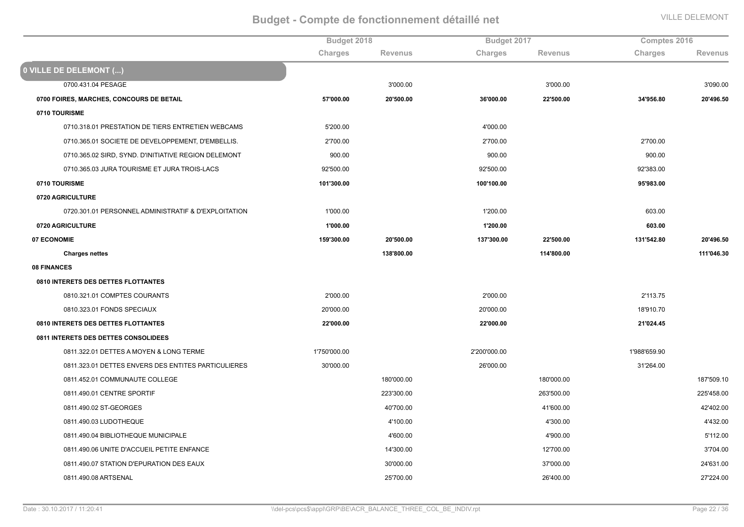|                                                      | Budget 2018  |                | Budget 2017  |                | Comptes 2016 |                |
|------------------------------------------------------|--------------|----------------|--------------|----------------|--------------|----------------|
|                                                      | Charges      | <b>Revenus</b> | Charges      | <b>Revenus</b> | Charges      | <b>Revenus</b> |
| 0 VILLE DE DELEMONT ()                               |              |                |              |                |              |                |
| 0700.431.04 PESAGE                                   |              | 3'000.00       |              | 3'000.00       |              | 3'090.00       |
| 0700 FOIRES, MARCHES, CONCOURS DE BETAIL             | 57'000.00    | 20'500.00      | 36'000.00    | 22'500.00      | 34'956.80    | 20'496.50      |
| 0710 TOURISME                                        |              |                |              |                |              |                |
| 0710.318.01 PRESTATION DE TIERS ENTRETIEN WEBCAMS    | 5'200.00     |                | 4'000.00     |                |              |                |
| 0710.365.01 SOCIETE DE DEVELOPPEMENT, D'EMBELLIS.    | 2'700.00     |                | 2'700.00     |                | 2'700.00     |                |
| 0710.365.02 SIRD, SYND. D'INITIATIVE REGION DELEMONT | 900.00       |                | 900.00       |                | 900.00       |                |
| 0710.365.03 JURA TOURISME ET JURA TROIS-LACS         | 92'500.00    |                | 92'500.00    |                | 92'383.00    |                |
| 0710 TOURISME                                        | 101'300.00   |                | 100'100.00   |                | 95'983.00    |                |
| 0720 AGRICULTURE                                     |              |                |              |                |              |                |
| 0720.301.01 PERSONNEL ADMINISTRATIF & D'EXPLOITATION | 1'000.00     |                | 1'200.00     |                | 603.00       |                |
| 0720 AGRICULTURE                                     | 1'000.00     |                | 1'200.00     |                | 603.00       |                |
| 07 ECONOMIE                                          | 159'300.00   | 20'500.00      | 137'300.00   | 22'500.00      | 131'542.80   | 20'496.50      |
| <b>Charges nettes</b>                                |              | 138'800.00     |              | 114'800.00     |              | 111'046.30     |
| 08 FINANCES                                          |              |                |              |                |              |                |
| 0810 INTERETS DES DETTES FLOTTANTES                  |              |                |              |                |              |                |
| 0810.321.01 COMPTES COURANTS                         | 2'000.00     |                | 2'000.00     |                | 2'113.75     |                |
| 0810.323.01 FONDS SPECIAUX                           | 20'000.00    |                | 20'000.00    |                | 18'910.70    |                |
| 0810 INTERETS DES DETTES FLOTTANTES                  | 22'000.00    |                | 22'000.00    |                | 21'024.45    |                |
| 0811 INTERETS DES DETTES CONSOLIDEES                 |              |                |              |                |              |                |
| 0811.322.01 DETTES A MOYEN & LONG TERME              | 1'750'000.00 |                | 2'200'000.00 |                | 1'988'659.90 |                |
| 0811.323.01 DETTES ENVERS DES ENTITES PARTICULIERES  | 30'000.00    |                | 26'000.00    |                | 31'264.00    |                |
| 0811.452.01 COMMUNAUTE COLLEGE                       |              | 180'000.00     |              | 180'000.00     |              | 187'509.10     |
| 0811.490.01 CENTRE SPORTIF                           |              | 223'300.00     |              | 263'500.00     |              | 225'458.00     |
| 0811.490.02 ST-GEORGES                               |              | 40'700.00      |              | 41'600.00      |              | 42'402.00      |
| 0811.490.03 LUDOTHEQUE                               |              | 4'100.00       |              | 4'300.00       |              | 4'432.00       |
| 0811.490.04 BIBLIOTHEQUE MUNICIPALE                  |              | 4'600.00       |              | 4'900.00       |              | 5'112.00       |
| 0811.490.06 UNITE D'ACCUEIL PETITE ENFANCE           |              | 14'300.00      |              | 12'700.00      |              | 3'704.00       |
| 0811.490.07 STATION D'EPURATION DES EAUX             |              | 30'000.00      |              | 37'000.00      |              | 24'631.00      |
| 0811.490.08 ARTSENAL                                 |              | 25'700.00      |              | 26'400.00      |              | 27'224.00      |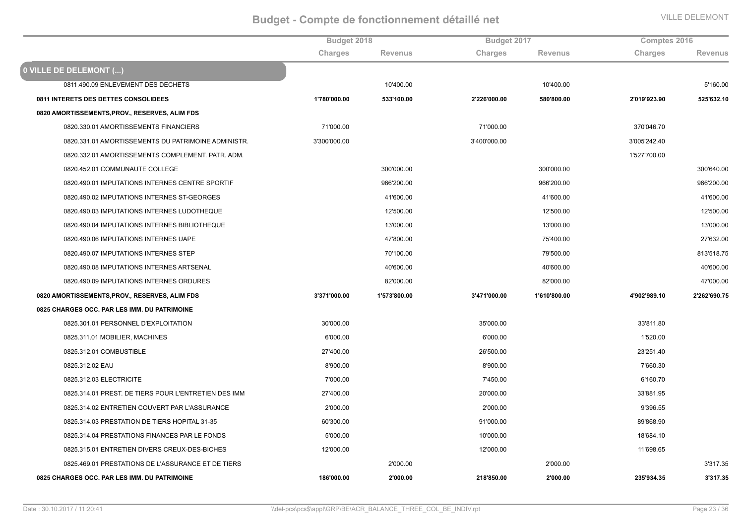|                                                      |              | Budget 2018    |              | Budget 2017    |              | Comptes 2016   |  |
|------------------------------------------------------|--------------|----------------|--------------|----------------|--------------|----------------|--|
|                                                      | Charges      | <b>Revenus</b> | Charges      | <b>Revenus</b> | Charges      | <b>Revenus</b> |  |
| 0 VILLE DE DELEMONT ()                               |              |                |              |                |              |                |  |
| 0811.490.09 ENLEVEMENT DES DECHETS                   |              | 10'400.00      |              | 10'400.00      |              | 5'160.00       |  |
| 0811 INTERETS DES DETTES CONSOLIDEES                 | 1'780'000.00 | 533'100.00     | 2'226'000.00 | 580'800.00     | 2'019'923.90 | 525'632.10     |  |
| 0820 AMORTISSEMENTS, PROV., RESERVES, ALIM FDS       |              |                |              |                |              |                |  |
| 0820.330.01 AMORTISSEMENTS FINANCIERS                | 71'000.00    |                | 71'000.00    |                | 370'046.70   |                |  |
| 0820.331.01 AMORTISSEMENTS DU PATRIMOINE ADMINISTR.  | 3'300'000.00 |                | 3'400'000.00 |                | 3'005'242.40 |                |  |
| 0820.332.01 AMORTISSEMENTS COMPLEMENT. PATR. ADM.    |              |                |              |                | 1'527'700.00 |                |  |
| 0820.452.01 COMMUNAUTE COLLEGE                       |              | 300'000.00     |              | 300'000.00     |              | 300'640.00     |  |
| 0820.490.01 IMPUTATIONS INTERNES CENTRE SPORTIF      |              | 966'200.00     |              | 966'200.00     |              | 966'200.00     |  |
| 0820.490.02 IMPUTATIONS INTERNES ST-GEORGES          |              | 41'600.00      |              | 41'600.00      |              | 41'600.00      |  |
| 0820.490.03 IMPUTATIONS INTERNES LUDOTHEQUE          |              | 12'500.00      |              | 12'500.00      |              | 12'500.00      |  |
| 0820.490.04 IMPUTATIONS INTERNES BIBLIOTHEQUE        |              | 13'000.00      |              | 13'000.00      |              | 13'000.00      |  |
| 0820.490.06 IMPUTATIONS INTERNES UAPE                |              | 47'800.00      |              | 75'400.00      |              | 27'632.00      |  |
| 0820.490.07 IMPUTATIONS INTERNES STEP                |              | 70'100.00      |              | 79'500.00      |              | 813'518.75     |  |
| 0820.490.08 IMPUTATIONS INTERNES ARTSENAL            |              | 40'600.00      |              | 40'600.00      |              | 40'600.00      |  |
| 0820.490.09 IMPUTATIONS INTERNES ORDURES             |              | 82'000.00      |              | 82'000.00      |              | 47'000.00      |  |
| 0820 AMORTISSEMENTS, PROV., RESERVES, ALIM FDS       | 3'371'000.00 | 1'573'800.00   | 3'471'000.00 | 1'610'800.00   | 4'902'989.10 | 2'262'690.75   |  |
| 0825 CHARGES OCC. PAR LES IMM. DU PATRIMOINE         |              |                |              |                |              |                |  |
| 0825.301.01 PERSONNEL D'EXPLOITATION                 | 30'000.00    |                | 35'000.00    |                | 33'811.80    |                |  |
| 0825.311.01 MOBILIER, MACHINES                       | 6'000.00     |                | 6'000.00     |                | 1'520.00     |                |  |
| 0825.312.01 COMBUSTIBLE                              | 27'400.00    |                | 26'500.00    |                | 23'251.40    |                |  |
| 0825.312.02 EAU                                      | 8'900.00     |                | 8'900.00     |                | 7'660.30     |                |  |
| 0825.312.03 ELECTRICITE                              | 7'000.00     |                | 7'450.00     |                | 6'160.70     |                |  |
| 0825.314.01 PREST. DE TIERS POUR L'ENTRETIEN DES IMM | 27'400.00    |                | 20'000.00    |                | 33'881.95    |                |  |
| 0825.314.02 ENTRETIEN COUVERT PAR L'ASSURANCE        | 2'000.00     |                | 2'000.00     |                | 9'396.55     |                |  |
| 0825.314.03 PRESTATION DE TIERS HOPITAL 31-35        | 60'300.00    |                | 91'000.00    |                | 89'868.90    |                |  |
| 0825.314.04 PRESTATIONS FINANCES PAR LE FONDS        | 5'000.00     |                | 10'000.00    |                | 18'684.10    |                |  |
| 0825.315.01 ENTRETIEN DIVERS CREUX-DES-BICHES        | 12'000.00    |                | 12'000.00    |                | 11'698.65    |                |  |
| 0825.469.01 PRESTATIONS DE L'ASSURANCE ET DE TIERS   |              | 2'000.00       |              | 2'000.00       |              | 3'317.35       |  |
| 0825 CHARGES OCC. PAR LES IMM. DU PATRIMOINE         | 186'000.00   | 2'000.00       | 218'850.00   | 2'000.00       | 235'934.35   | 3'317.35       |  |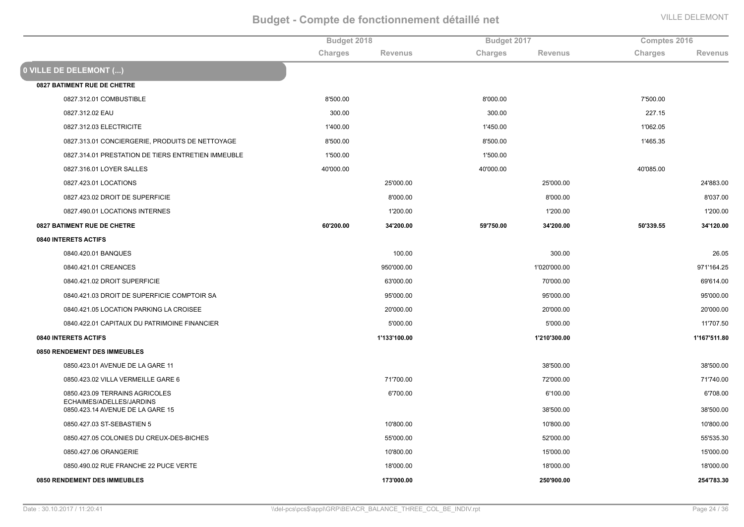|                                                            | Budget 2018 |                | Budget 2017 |                | Comptes 2016 |                |
|------------------------------------------------------------|-------------|----------------|-------------|----------------|--------------|----------------|
|                                                            | Charges     | <b>Revenus</b> | Charges     | <b>Revenus</b> | Charges      | <b>Revenus</b> |
| 0 VILLE DE DELEMONT ()                                     |             |                |             |                |              |                |
| <b>0827 BATIMENT RUE DE CHETRE</b>                         |             |                |             |                |              |                |
| 0827.312.01 COMBUSTIBLE                                    | 8'500.00    |                | 8'000.00    |                | 7'500.00     |                |
| 0827.312.02 EAU                                            | 300.00      |                | 300.00      |                | 227.15       |                |
| 0827.312.03 ELECTRICITE                                    | 1'400.00    |                | 1'450.00    |                | 1'062.05     |                |
| 0827.313.01 CONCIERGERIE, PRODUITS DE NETTOYAGE            | 8'500.00    |                | 8'500.00    |                | 1'465.35     |                |
| 0827.314.01 PRESTATION DE TIERS ENTRETIEN IMMEUBLE         | 1'500.00    |                | 1'500.00    |                |              |                |
| 0827.316.01 LOYER SALLES                                   | 40'000.00   |                | 40'000.00   |                | 40'085.00    |                |
| 0827.423.01 LOCATIONS                                      |             | 25'000.00      |             | 25'000.00      |              | 24'883.00      |
| 0827.423.02 DROIT DE SUPERFICIE                            |             | 8'000.00       |             | 8'000.00       |              | 8'037.00       |
| 0827.490.01 LOCATIONS INTERNES                             |             | 1'200.00       |             | 1'200.00       |              | 1'200.00       |
| 0827 BATIMENT RUE DE CHETRE                                | 60'200.00   | 34'200.00      | 59'750.00   | 34'200.00      | 50'339.55    | 34'120.00      |
| 0840 INTERETS ACTIFS                                       |             |                |             |                |              |                |
| 0840.420.01 BANQUES                                        |             | 100.00         |             | 300.00         |              | 26.05          |
| 0840.421.01 CREANCES                                       |             | 950'000.00     |             | 1'020'000.00   |              | 971'164.25     |
| 0840.421.02 DROIT SUPERFICIE                               |             | 63'000.00      |             | 70'000.00      |              | 69'614.00      |
| 0840.421.03 DROIT DE SUPERFICIE COMPTOIR SA                |             | 95'000.00      |             | 95'000.00      |              | 95'000.00      |
| 0840.421.05 LOCATION PARKING LA CROISEE                    |             | 20'000.00      |             | 20'000.00      |              | 20'000.00      |
| 0840.422.01 CAPITAUX DU PATRIMOINE FINANCIER               |             | 5'000.00       |             | 5'000.00       |              | 11'707.50      |
| 0840 INTERETS ACTIFS                                       |             | 1'133'100.00   |             | 1'210'300.00   |              | 1'167'511.80   |
| 0850 RENDEMENT DES IMMEUBLES                               |             |                |             |                |              |                |
| 0850.423.01 AVENUE DE LA GARE 11                           |             |                |             | 38'500.00      |              | 38'500.00      |
| 0850.423.02 VILLA VERMEILLE GARE 6                         |             | 71'700.00      |             | 72'000.00      |              | 71'740.00      |
| 0850.423.09 TERRAINS AGRICOLES<br>ECHAIMES/ADELLES/JARDINS |             | 6'700.00       |             | 6'100.00       |              | 6'708.00       |
| 0850.423.14 AVENUE DE LA GARE 15                           |             |                |             | 38'500.00      |              | 38'500.00      |
| 0850.427.03 ST-SEBASTIEN 5                                 |             | 10'800.00      |             | 10'800.00      |              | 10'800.00      |
| 0850.427.05 COLONIES DU CREUX-DES-BICHES                   |             | 55'000.00      |             | 52'000.00      |              | 55'535.30      |
| 0850.427.06 ORANGERIE                                      |             | 10'800.00      |             | 15'000.00      |              | 15'000.00      |
| 0850.490.02 RUE FRANCHE 22 PUCE VERTE                      |             | 18'000.00      |             | 18'000.00      |              | 18'000.00      |
| 0850 RENDEMENT DES IMMEUBLES                               |             | 173'000.00     |             | 250'900.00     |              | 254'783.30     |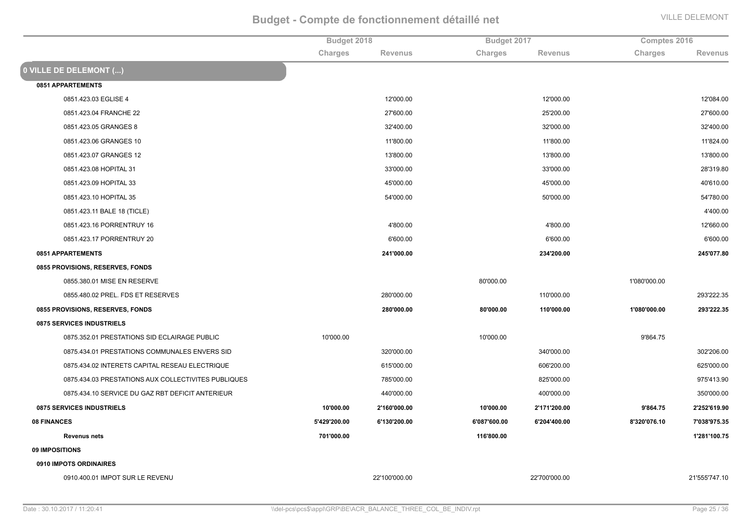| Charges<br>Charges<br>Charges<br><b>Revenus</b><br><b>Revenus</b><br><b>Revenus</b><br>0851 APPARTEMENTS<br>0851.423.03 EGLISE 4<br>12'000.00<br>12'000.00<br>12'084.00<br>25'200.00<br>27'600.00<br>0851.423.04 FRANCHE 22<br>27'600.00<br>0851.423.05 GRANGES 8<br>32'400.00<br>32'000.00<br>32'400.00<br>11'800.00<br>11'800.00<br>11'824.00<br>0851.423.06 GRANGES 10<br>0851.423.07 GRANGES 12<br>13'800.00<br>13'800.00<br>13'800.00<br>33'000.00<br>33'000.00<br>28'319.80<br>0851.423.08 HOPITAL 31<br>0851.423.09 HOPITAL 33<br>45'000.00<br>45'000.00<br>40'610.00<br>54'000.00<br>50'000.00<br>54'780.00<br>0851.423.10 HOPITAL 35<br>4'400.00<br>0851.423.11 BALE 18 (TICLE)<br>0851.423.16 PORRENTRUY 16<br>4'800.00<br>4'800.00<br>12'660.00<br>0851.423.17 PORRENTRUY 20<br>6'600.00<br>6'600.00<br>6'600.00<br>0851 APPARTEMENTS<br>234'200.00<br>245'077.80<br>241'000.00<br>0855 PROVISIONS, RESERVES, FONDS<br>0855.380.01 MISE EN RESERVE<br>80'000.00<br>1'080'000.00<br>0855.480.02 PREL. FDS ET RESERVES<br>280'000.00<br>110'000.00<br>293'222.35<br>0855 PROVISIONS, RESERVES, FONDS<br>280'000.00<br>110'000.00<br>1'080'000.00<br>293'222.35<br>80'000.00<br>0875 SERVICES INDUSTRIELS<br>0875.352.01 PRESTATIONS SID ECLAIRAGE PUBLIC<br>10'000.00<br>10'000.00<br>9'864.75<br>302'206.00<br>0875.434.01 PRESTATIONS COMMUNALES ENVERS SID<br>320'000.00<br>340'000.00<br>0875.434.02 INTERETS CAPITAL RESEAU ELECTRIQUE<br>615'000.00<br>606'200.00<br>625'000.00<br>0875.434.03 PRESTATIONS AUX COLLECTIVITES PUBLIQUES<br>785'000.00<br>825'000.00<br>975'413.90<br>0875.434.10 SERVICE DU GAZ RBT DEFICIT ANTERIEUR<br>440'000.00<br>400'000.00<br>350'000.00<br>0875 SERVICES INDUSTRIELS<br>10'000.00<br>9'864.75<br>2'252'619.90<br>2'160'000.00<br>10'000.00<br>2'171'200.00<br>08 FINANCES<br>5'429'200.00<br>7'038'975.35<br>6'130'200.00<br>6'087'600.00<br>6'204'400.00<br>8'320'076.10<br>701'000.00<br>116'800.00<br>1'281'100.75<br><b>Revenus nets</b><br>09 IMPOSITIONS<br>0910 IMPOTS ORDINAIRES<br>0910.400.01 IMPOT SUR LE REVENU<br>22'100'000.00<br>22'700'000.00<br>21'555'747.10 |                        | Budget 2018 | Budget 2017 |  | Comptes 2016 |  |
|--------------------------------------------------------------------------------------------------------------------------------------------------------------------------------------------------------------------------------------------------------------------------------------------------------------------------------------------------------------------------------------------------------------------------------------------------------------------------------------------------------------------------------------------------------------------------------------------------------------------------------------------------------------------------------------------------------------------------------------------------------------------------------------------------------------------------------------------------------------------------------------------------------------------------------------------------------------------------------------------------------------------------------------------------------------------------------------------------------------------------------------------------------------------------------------------------------------------------------------------------------------------------------------------------------------------------------------------------------------------------------------------------------------------------------------------------------------------------------------------------------------------------------------------------------------------------------------------------------------------------------------------------------------------------------------------------------------------------------------------------------------------------------------------------------------------------------------------------------------------------------------------------------------------------------------------------------------------------------------------------------------------------------------------------------------------------------------------------------------------------------------|------------------------|-------------|-------------|--|--------------|--|
|                                                                                                                                                                                                                                                                                                                                                                                                                                                                                                                                                                                                                                                                                                                                                                                                                                                                                                                                                                                                                                                                                                                                                                                                                                                                                                                                                                                                                                                                                                                                                                                                                                                                                                                                                                                                                                                                                                                                                                                                                                                                                                                                      |                        |             |             |  |              |  |
|                                                                                                                                                                                                                                                                                                                                                                                                                                                                                                                                                                                                                                                                                                                                                                                                                                                                                                                                                                                                                                                                                                                                                                                                                                                                                                                                                                                                                                                                                                                                                                                                                                                                                                                                                                                                                                                                                                                                                                                                                                                                                                                                      | 0 VILLE DE DELEMONT () |             |             |  |              |  |
|                                                                                                                                                                                                                                                                                                                                                                                                                                                                                                                                                                                                                                                                                                                                                                                                                                                                                                                                                                                                                                                                                                                                                                                                                                                                                                                                                                                                                                                                                                                                                                                                                                                                                                                                                                                                                                                                                                                                                                                                                                                                                                                                      |                        |             |             |  |              |  |
|                                                                                                                                                                                                                                                                                                                                                                                                                                                                                                                                                                                                                                                                                                                                                                                                                                                                                                                                                                                                                                                                                                                                                                                                                                                                                                                                                                                                                                                                                                                                                                                                                                                                                                                                                                                                                                                                                                                                                                                                                                                                                                                                      |                        |             |             |  |              |  |
|                                                                                                                                                                                                                                                                                                                                                                                                                                                                                                                                                                                                                                                                                                                                                                                                                                                                                                                                                                                                                                                                                                                                                                                                                                                                                                                                                                                                                                                                                                                                                                                                                                                                                                                                                                                                                                                                                                                                                                                                                                                                                                                                      |                        |             |             |  |              |  |
|                                                                                                                                                                                                                                                                                                                                                                                                                                                                                                                                                                                                                                                                                                                                                                                                                                                                                                                                                                                                                                                                                                                                                                                                                                                                                                                                                                                                                                                                                                                                                                                                                                                                                                                                                                                                                                                                                                                                                                                                                                                                                                                                      |                        |             |             |  |              |  |
|                                                                                                                                                                                                                                                                                                                                                                                                                                                                                                                                                                                                                                                                                                                                                                                                                                                                                                                                                                                                                                                                                                                                                                                                                                                                                                                                                                                                                                                                                                                                                                                                                                                                                                                                                                                                                                                                                                                                                                                                                                                                                                                                      |                        |             |             |  |              |  |
|                                                                                                                                                                                                                                                                                                                                                                                                                                                                                                                                                                                                                                                                                                                                                                                                                                                                                                                                                                                                                                                                                                                                                                                                                                                                                                                                                                                                                                                                                                                                                                                                                                                                                                                                                                                                                                                                                                                                                                                                                                                                                                                                      |                        |             |             |  |              |  |
|                                                                                                                                                                                                                                                                                                                                                                                                                                                                                                                                                                                                                                                                                                                                                                                                                                                                                                                                                                                                                                                                                                                                                                                                                                                                                                                                                                                                                                                                                                                                                                                                                                                                                                                                                                                                                                                                                                                                                                                                                                                                                                                                      |                        |             |             |  |              |  |
|                                                                                                                                                                                                                                                                                                                                                                                                                                                                                                                                                                                                                                                                                                                                                                                                                                                                                                                                                                                                                                                                                                                                                                                                                                                                                                                                                                                                                                                                                                                                                                                                                                                                                                                                                                                                                                                                                                                                                                                                                                                                                                                                      |                        |             |             |  |              |  |
|                                                                                                                                                                                                                                                                                                                                                                                                                                                                                                                                                                                                                                                                                                                                                                                                                                                                                                                                                                                                                                                                                                                                                                                                                                                                                                                                                                                                                                                                                                                                                                                                                                                                                                                                                                                                                                                                                                                                                                                                                                                                                                                                      |                        |             |             |  |              |  |
|                                                                                                                                                                                                                                                                                                                                                                                                                                                                                                                                                                                                                                                                                                                                                                                                                                                                                                                                                                                                                                                                                                                                                                                                                                                                                                                                                                                                                                                                                                                                                                                                                                                                                                                                                                                                                                                                                                                                                                                                                                                                                                                                      |                        |             |             |  |              |  |
|                                                                                                                                                                                                                                                                                                                                                                                                                                                                                                                                                                                                                                                                                                                                                                                                                                                                                                                                                                                                                                                                                                                                                                                                                                                                                                                                                                                                                                                                                                                                                                                                                                                                                                                                                                                                                                                                                                                                                                                                                                                                                                                                      |                        |             |             |  |              |  |
|                                                                                                                                                                                                                                                                                                                                                                                                                                                                                                                                                                                                                                                                                                                                                                                                                                                                                                                                                                                                                                                                                                                                                                                                                                                                                                                                                                                                                                                                                                                                                                                                                                                                                                                                                                                                                                                                                                                                                                                                                                                                                                                                      |                        |             |             |  |              |  |
|                                                                                                                                                                                                                                                                                                                                                                                                                                                                                                                                                                                                                                                                                                                                                                                                                                                                                                                                                                                                                                                                                                                                                                                                                                                                                                                                                                                                                                                                                                                                                                                                                                                                                                                                                                                                                                                                                                                                                                                                                                                                                                                                      |                        |             |             |  |              |  |
|                                                                                                                                                                                                                                                                                                                                                                                                                                                                                                                                                                                                                                                                                                                                                                                                                                                                                                                                                                                                                                                                                                                                                                                                                                                                                                                                                                                                                                                                                                                                                                                                                                                                                                                                                                                                                                                                                                                                                                                                                                                                                                                                      |                        |             |             |  |              |  |
|                                                                                                                                                                                                                                                                                                                                                                                                                                                                                                                                                                                                                                                                                                                                                                                                                                                                                                                                                                                                                                                                                                                                                                                                                                                                                                                                                                                                                                                                                                                                                                                                                                                                                                                                                                                                                                                                                                                                                                                                                                                                                                                                      |                        |             |             |  |              |  |
|                                                                                                                                                                                                                                                                                                                                                                                                                                                                                                                                                                                                                                                                                                                                                                                                                                                                                                                                                                                                                                                                                                                                                                                                                                                                                                                                                                                                                                                                                                                                                                                                                                                                                                                                                                                                                                                                                                                                                                                                                                                                                                                                      |                        |             |             |  |              |  |
|                                                                                                                                                                                                                                                                                                                                                                                                                                                                                                                                                                                                                                                                                                                                                                                                                                                                                                                                                                                                                                                                                                                                                                                                                                                                                                                                                                                                                                                                                                                                                                                                                                                                                                                                                                                                                                                                                                                                                                                                                                                                                                                                      |                        |             |             |  |              |  |
|                                                                                                                                                                                                                                                                                                                                                                                                                                                                                                                                                                                                                                                                                                                                                                                                                                                                                                                                                                                                                                                                                                                                                                                                                                                                                                                                                                                                                                                                                                                                                                                                                                                                                                                                                                                                                                                                                                                                                                                                                                                                                                                                      |                        |             |             |  |              |  |
|                                                                                                                                                                                                                                                                                                                                                                                                                                                                                                                                                                                                                                                                                                                                                                                                                                                                                                                                                                                                                                                                                                                                                                                                                                                                                                                                                                                                                                                                                                                                                                                                                                                                                                                                                                                                                                                                                                                                                                                                                                                                                                                                      |                        |             |             |  |              |  |
|                                                                                                                                                                                                                                                                                                                                                                                                                                                                                                                                                                                                                                                                                                                                                                                                                                                                                                                                                                                                                                                                                                                                                                                                                                                                                                                                                                                                                                                                                                                                                                                                                                                                                                                                                                                                                                                                                                                                                                                                                                                                                                                                      |                        |             |             |  |              |  |
|                                                                                                                                                                                                                                                                                                                                                                                                                                                                                                                                                                                                                                                                                                                                                                                                                                                                                                                                                                                                                                                                                                                                                                                                                                                                                                                                                                                                                                                                                                                                                                                                                                                                                                                                                                                                                                                                                                                                                                                                                                                                                                                                      |                        |             |             |  |              |  |
|                                                                                                                                                                                                                                                                                                                                                                                                                                                                                                                                                                                                                                                                                                                                                                                                                                                                                                                                                                                                                                                                                                                                                                                                                                                                                                                                                                                                                                                                                                                                                                                                                                                                                                                                                                                                                                                                                                                                                                                                                                                                                                                                      |                        |             |             |  |              |  |
|                                                                                                                                                                                                                                                                                                                                                                                                                                                                                                                                                                                                                                                                                                                                                                                                                                                                                                                                                                                                                                                                                                                                                                                                                                                                                                                                                                                                                                                                                                                                                                                                                                                                                                                                                                                                                                                                                                                                                                                                                                                                                                                                      |                        |             |             |  |              |  |
|                                                                                                                                                                                                                                                                                                                                                                                                                                                                                                                                                                                                                                                                                                                                                                                                                                                                                                                                                                                                                                                                                                                                                                                                                                                                                                                                                                                                                                                                                                                                                                                                                                                                                                                                                                                                                                                                                                                                                                                                                                                                                                                                      |                        |             |             |  |              |  |
|                                                                                                                                                                                                                                                                                                                                                                                                                                                                                                                                                                                                                                                                                                                                                                                                                                                                                                                                                                                                                                                                                                                                                                                                                                                                                                                                                                                                                                                                                                                                                                                                                                                                                                                                                                                                                                                                                                                                                                                                                                                                                                                                      |                        |             |             |  |              |  |
|                                                                                                                                                                                                                                                                                                                                                                                                                                                                                                                                                                                                                                                                                                                                                                                                                                                                                                                                                                                                                                                                                                                                                                                                                                                                                                                                                                                                                                                                                                                                                                                                                                                                                                                                                                                                                                                                                                                                                                                                                                                                                                                                      |                        |             |             |  |              |  |
|                                                                                                                                                                                                                                                                                                                                                                                                                                                                                                                                                                                                                                                                                                                                                                                                                                                                                                                                                                                                                                                                                                                                                                                                                                                                                                                                                                                                                                                                                                                                                                                                                                                                                                                                                                                                                                                                                                                                                                                                                                                                                                                                      |                        |             |             |  |              |  |
|                                                                                                                                                                                                                                                                                                                                                                                                                                                                                                                                                                                                                                                                                                                                                                                                                                                                                                                                                                                                                                                                                                                                                                                                                                                                                                                                                                                                                                                                                                                                                                                                                                                                                                                                                                                                                                                                                                                                                                                                                                                                                                                                      |                        |             |             |  |              |  |
|                                                                                                                                                                                                                                                                                                                                                                                                                                                                                                                                                                                                                                                                                                                                                                                                                                                                                                                                                                                                                                                                                                                                                                                                                                                                                                                                                                                                                                                                                                                                                                                                                                                                                                                                                                                                                                                                                                                                                                                                                                                                                                                                      |                        |             |             |  |              |  |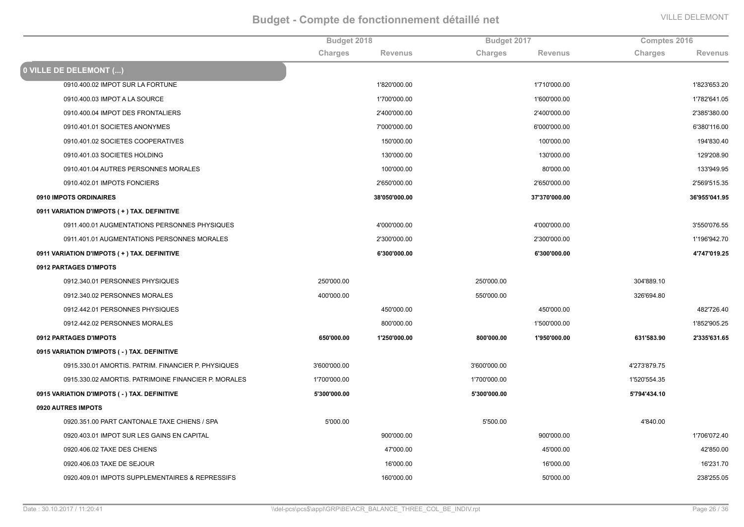|                                                      | Budget 2018  |                | Budget 2017  |                | Comptes 2016 |                |
|------------------------------------------------------|--------------|----------------|--------------|----------------|--------------|----------------|
|                                                      | Charges      | <b>Revenus</b> | Charges      | <b>Revenus</b> | Charges      | <b>Revenus</b> |
| <b>0 VILLE DE DELEMONT ()</b>                        |              |                |              |                |              |                |
| 0910.400.02 IMPOT SUR LA FORTUNE                     |              | 1'820'000.00   |              | 1'710'000.00   |              | 1'823'653.20   |
| 0910.400.03 IMPOT A LA SOURCE                        |              | 1'700'000.00   |              | 1'600'000.00   |              | 1'782'641.05   |
| 0910.400.04 IMPOT DES FRONTALIERS                    |              | 2'400'000.00   |              | 2'400'000.00   |              | 2'385'380.00   |
| 0910.401.01 SOCIETES ANONYMES                        |              | 7'000'000.00   |              | 6'000'000.00   |              | 6'380'116.00   |
| 0910.401.02 SOCIETES COOPERATIVES                    |              | 150'000.00     |              | 100'000.00     |              | 194'830.40     |
| 0910.401.03 SOCIETES HOLDING                         |              | 130'000.00     |              | 130'000.00     |              | 129'208.90     |
| 0910.401.04 AUTRES PERSONNES MORALES                 |              | 100'000.00     |              | 80'000.00      |              | 133'949.95     |
| 0910.402.01 IMPOTS FONCIERS                          |              | 2'650'000.00   |              | 2'650'000.00   |              | 2'569'515.35   |
| 0910 IMPOTS ORDINAIRES                               |              | 38'050'000.00  |              | 37'370'000.00  |              | 36'955'041.95  |
| 0911 VARIATION D'IMPOTS (+) TAX. DEFINITIVE          |              |                |              |                |              |                |
| 0911.400.01 AUGMENTATIONS PERSONNES PHYSIQUES        |              | 4'000'000.00   |              | 4'000'000.00   |              | 3'550'076.55   |
| 0911.401.01 AUGMENTATIONS PERSONNES MORALES          |              | 2'300'000.00   |              | 2'300'000.00   |              | 1'196'942.70   |
| 0911 VARIATION D'IMPOTS (+) TAX. DEFINITIVE          |              | 6'300'000.00   |              | 6'300'000.00   |              | 4'747'019.25   |
| 0912 PARTAGES D'IMPOTS                               |              |                |              |                |              |                |
| 0912.340.01 PERSONNES PHYSIQUES                      | 250'000.00   |                | 250'000.00   |                | 304'889.10   |                |
| 0912.340.02 PERSONNES MORALES                        | 400'000.00   |                | 550'000.00   |                | 326'694.80   |                |
| 0912.442.01 PERSONNES PHYSIQUES                      |              | 450'000.00     |              | 450'000.00     |              | 482'726.40     |
| 0912.442.02 PERSONNES MORALES                        |              | 800'000.00     |              | 1'500'000.00   |              | 1'852'905.25   |
| 0912 PARTAGES D'IMPOTS                               | 650'000.00   | 1'250'000.00   | 800'000.00   | 1'950'000.00   | 631'583.90   | 2'335'631.65   |
| 0915 VARIATION D'IMPOTS (-) TAX. DEFINITIVE          |              |                |              |                |              |                |
| 0915.330.01 AMORTIS. PATRIM. FINANCIER P. PHYSIQUES  | 3'600'000.00 |                | 3'600'000.00 |                | 4'273'879.75 |                |
| 0915.330.02 AMORTIS. PATRIMOINE FINANCIER P. MORALES | 1'700'000.00 |                | 1'700'000.00 |                | 1'520'554.35 |                |
| 0915 VARIATION D'IMPOTS ( - ) TAX. DEFINITIVE        | 5'300'000.00 |                | 5'300'000.00 |                | 5'794'434.10 |                |
| 0920 AUTRES IMPOTS                                   |              |                |              |                |              |                |
| 0920.351.00 PART CANTONALE TAXE CHIENS / SPA         | 5'000.00     |                | 5'500.00     |                | 4'840.00     |                |
| 0920.403.01 IMPOT SUR LES GAINS EN CAPITAL           |              | 900'000.00     |              | 900'000.00     |              | 1'706'072.40   |
| 0920.406.02 TAXE DES CHIENS                          |              | 47'000.00      |              | 45'000.00      |              | 42'850.00      |
| 0920.406.03 TAXE DE SEJOUR                           |              | 16'000.00      |              | 16'000.00      |              | 16'231.70      |
| 0920.409.01 IMPOTS SUPPLEMENTAIRES & REPRESSIFS      |              | 160'000.00     |              | 50'000.00      |              | 238'255.05     |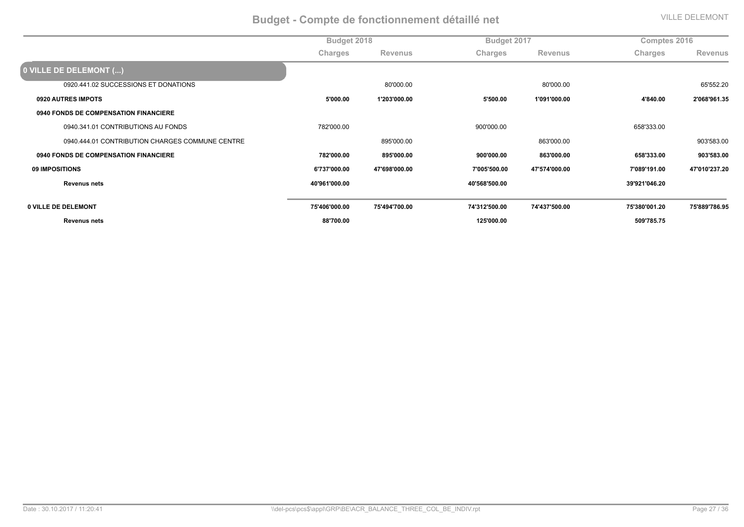|                                                 | Budget 2018   |                |               | Budget 2017   |               | Comptes 2016   |  |
|-------------------------------------------------|---------------|----------------|---------------|---------------|---------------|----------------|--|
|                                                 | Charges       | <b>Revenus</b> | Charges       | Revenus       | Charges       | <b>Revenus</b> |  |
| 0 VILLE DE DELEMONT ()                          |               |                |               |               |               |                |  |
| 0920.441.02 SUCCESSIONS ET DONATIONS            |               | 80'000.00      |               | 80'000.00     |               | 65'552.20      |  |
| 0920 AUTRES IMPOTS                              | 5'000.00      | 1'203'000.00   | 5'500.00      | 1'091'000.00  | 4'840.00      | 2'068'961.35   |  |
| 0940 FONDS DE COMPENSATION FINANCIERE           |               |                |               |               |               |                |  |
| 0940.341.01 CONTRIBUTIONS AU FONDS              | 782'000.00    |                | 900'000.00    |               | 658'333.00    |                |  |
| 0940.444.01 CONTRIBUTION CHARGES COMMUNE CENTRE |               | 895'000.00     |               | 863'000.00    |               | 903'583.00     |  |
| <b>0940 FONDS DE COMPENSATION FINANCIERE</b>    | 782'000.00    | 895'000.00     | 900'000.00    | 863'000.00    | 658'333.00    | 903'583.00     |  |
| 09 IMPOSITIONS                                  | 6'737'000.00  | 47'698'000.00  | 7'005'500.00  | 47'574'000.00 | 7'089'191.00  | 47'010'237.20  |  |
| <b>Revenus nets</b>                             | 40'961'000.00 |                | 40'568'500.00 |               | 39'921'046.20 |                |  |
|                                                 |               |                |               |               |               |                |  |
| 0 VILLE DE DELEMONT                             | 75'406'000.00 | 75'494'700.00  | 74'312'500.00 | 74'437'500.00 | 75'380'001.20 | 75'889'786.95  |  |
| <b>Revenus nets</b>                             | 88'700.00     |                | 125'000.00    |               | 509'785.75    |                |  |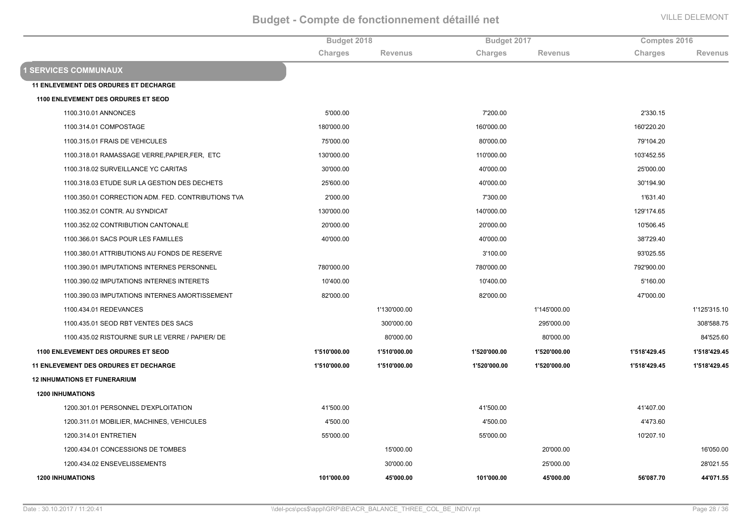|                                                    | Budget 2018    |                | Budget 2017  |                | Comptes 2016   |                |
|----------------------------------------------------|----------------|----------------|--------------|----------------|----------------|----------------|
|                                                    | <b>Charges</b> | <b>Revenus</b> | Charges      | <b>Revenus</b> | <b>Charges</b> | <b>Revenus</b> |
| <b>1 SERVICES COMMUNAUX</b>                        |                |                |              |                |                |                |
| <b>11 ENLEVEMENT DES ORDURES ET DECHARGE</b>       |                |                |              |                |                |                |
| 1100 ENLEVEMENT DES ORDURES ET SEOD                |                |                |              |                |                |                |
| 1100.310.01 ANNONCES                               | 5'000.00       |                | 7'200.00     |                | 2'330.15       |                |
| 1100.314.01 COMPOSTAGE                             | 180'000.00     |                | 160'000.00   |                | 160'220.20     |                |
| 1100.315.01 FRAIS DE VEHICULES                     | 75'000.00      |                | 80'000.00    |                | 79'104.20      |                |
| 1100.318.01 RAMASSAGE VERRE, PAPIER, FER, ETC      | 130'000.00     |                | 110'000.00   |                | 103'452.55     |                |
| 1100.318.02 SURVEILLANCE YC CARITAS                | 30'000.00      |                | 40'000.00    |                | 25'000.00      |                |
| 1100.318.03 ETUDE SUR LA GESTION DES DECHETS       | 25'600.00      |                | 40'000.00    |                | 30'194.90      |                |
| 1100.350.01 CORRECTION ADM. FED. CONTRIBUTIONS TVA | 2'000.00       |                | 7'300.00     |                | 1'631.40       |                |
| 1100.352.01 CONTR. AU SYNDICAT                     | 130'000.00     |                | 140'000.00   |                | 129'174.65     |                |
| 1100.352.02 CONTRIBUTION CANTONALE                 | 20'000.00      |                | 20'000.00    |                | 10'506.45      |                |
| 1100.366.01 SACS POUR LES FAMILLES                 | 40'000.00      |                | 40'000.00    |                | 38'729.40      |                |
| 1100.380.01 ATTRIBUTIONS AU FONDS DE RESERVE       |                |                | 3'100.00     |                | 93'025.55      |                |
| 1100.390.01 IMPUTATIONS INTERNES PERSONNEL         | 780'000.00     |                | 780'000.00   |                | 792'900.00     |                |
| 1100.390.02 IMPUTATIONS INTERNES INTERETS          | 10'400.00      |                | 10'400.00    |                | 5'160.00       |                |
| 1100.390.03 IMPUTATIONS INTERNES AMORTISSEMENT     | 82'000.00      |                | 82'000.00    |                | 47'000.00      |                |
| 1100.434.01 REDEVANCES                             |                | 1'130'000.00   |              | 1'145'000.00   |                | 1'125'315.10   |
| 1100.435.01 SEOD RBT VENTES DES SACS               |                | 300'000.00     |              | 295'000.00     |                | 308'588.75     |
| 1100.435.02 RISTOURNE SUR LE VERRE / PAPIER/ DE    |                | 80'000.00      |              | 80'000.00      |                | 84'525.60      |
| <b>1100 ENLEVEMENT DES ORDURES ET SEOD</b>         | 1'510'000.00   | 1'510'000.00   | 1'520'000.00 | 1'520'000.00   | 1'518'429.45   | 1'518'429.45   |
| <b>11 ENLEVEMENT DES ORDURES ET DECHARGE</b>       | 1'510'000.00   | 1'510'000.00   | 1'520'000.00 | 1'520'000.00   | 1'518'429.45   | 1'518'429.45   |
| <b>12 INHUMATIONS ET FUNERARIUM</b>                |                |                |              |                |                |                |
| <b>1200 INHUMATIONS</b>                            |                |                |              |                |                |                |
| 1200.301.01 PERSONNEL D'EXPLOITATION               | 41'500.00      |                | 41'500.00    |                | 41'407.00      |                |
| 1200.311.01 MOBILIER, MACHINES, VEHICULES          | 4'500.00       |                | 4'500.00     |                | 4'473.60       |                |
| 1200.314.01 ENTRETIEN                              | 55'000.00      |                | 55'000.00    |                | 10'207.10      |                |
| 1200.434.01 CONCESSIONS DE TOMBES                  |                | 15'000.00      |              | 20'000.00      |                | 16'050.00      |
| 1200.434.02 ENSEVELISSEMENTS                       |                | 30'000.00      |              | 25'000.00      |                | 28'021.55      |
| <b>1200 INHUMATIONS</b>                            | 101'000.00     | 45'000.00      | 101'000.00   | 45'000.00      | 56'087.70      | 44'071.55      |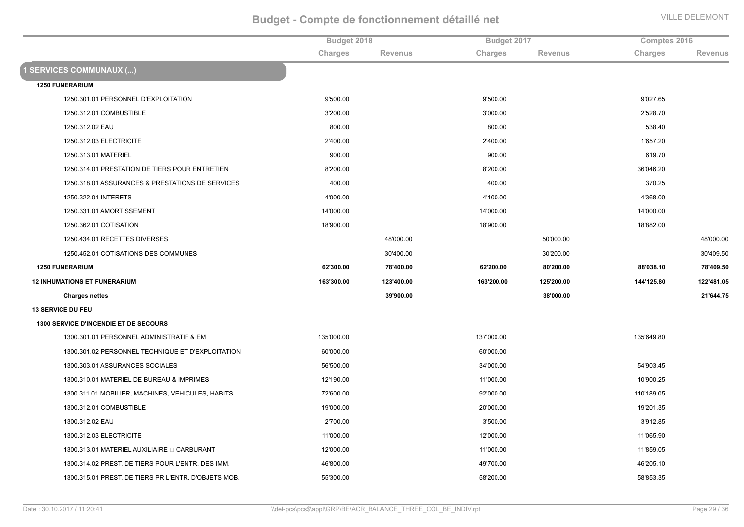|                                                      | Budget 2018 |                | Budget 2017 |                | Comptes 2016 |                |
|------------------------------------------------------|-------------|----------------|-------------|----------------|--------------|----------------|
|                                                      | Charges     | <b>Revenus</b> | Charges     | <b>Revenus</b> | Charges      | <b>Revenus</b> |
| <b>1 SERVICES COMMUNAUX ()</b>                       |             |                |             |                |              |                |
| <b>1250 FUNERARIUM</b>                               |             |                |             |                |              |                |
| 1250.301.01 PERSONNEL D'EXPLOITATION                 | 9'500.00    |                | 9'500.00    |                | 9'027.65     |                |
| 1250.312.01 COMBUSTIBLE                              | 3'200.00    |                | 3'000.00    |                | 2'528.70     |                |
| 1250.312.02 EAU                                      | 800.00      |                | 800.00      |                | 538.40       |                |
| 1250.312.03 ELECTRICITE                              | 2'400.00    |                | 2'400.00    |                | 1'657.20     |                |
| 1250.313.01 MATERIEL                                 | 900.00      |                | 900.00      |                | 619.70       |                |
| 1250.314.01 PRESTATION DE TIERS POUR ENTRETIEN       | 8'200.00    |                | 8'200.00    |                | 36'046.20    |                |
| 1250.318.01 ASSURANCES & PRESTATIONS DE SERVICES     | 400.00      |                | 400.00      |                | 370.25       |                |
| 1250.322.01 INTERETS                                 | 4'000.00    |                | 4'100.00    |                | 4'368.00     |                |
| 1250.331.01 AMORTISSEMENT                            | 14'000.00   |                | 14'000.00   |                | 14'000.00    |                |
| 1250.362.01 COTISATION                               | 18'900.00   |                | 18'900.00   |                | 18'882.00    |                |
| 1250.434.01 RECETTES DIVERSES                        |             | 48'000.00      |             | 50'000.00      |              | 48'000.00      |
| 1250.452.01 COTISATIONS DES COMMUNES                 |             | 30'400.00      |             | 30'200.00      |              | 30'409.50      |
| <b>1250 FUNERARIUM</b>                               | 62'300.00   | 78'400.00      | 62'200.00   | 80'200.00      | 88'038.10    | 78'409.50      |
| <b>12 INHUMATIONS ET FUNERARIUM</b>                  | 163'300.00  | 123'400.00     | 163'200.00  | 125'200.00     | 144'125.80   | 122'481.05     |
| <b>Charges nettes</b>                                |             | 39'900.00      |             | 38'000.00      |              | 21'644.75      |
| <b>13 SERVICE DU FEU</b>                             |             |                |             |                |              |                |
| <b>1300 SERVICE D'INCENDIE ET DE SECOURS</b>         |             |                |             |                |              |                |
| 1300.301.01 PERSONNEL ADMINISTRATIF & EM             | 135'000.00  |                | 137'000.00  |                | 135'649.80   |                |
| 1300.301.02 PERSONNEL TECHNIQUE ET D'EXPLOITATION    | 60'000.00   |                | 60'000.00   |                |              |                |
| 1300.303.01 ASSURANCES SOCIALES                      | 56'500.00   |                | 34'000.00   |                | 54'903.45    |                |
| 1300.310.01 MATERIEL DE BUREAU & IMPRIMES            | 12'190.00   |                | 11'000.00   |                | 10'900.25    |                |
| 1300.311.01 MOBILIER, MACHINES, VEHICULES, HABITS    | 72'600.00   |                | 92'000.00   |                | 110'189.05   |                |
| 1300.312.01 COMBUSTIBLE                              | 19'000.00   |                | 20'000.00   |                | 19'201.35    |                |
| 1300.312.02 EAU                                      | 2'700.00    |                | 3'500.00    |                | 3'912.85     |                |
| 1300.312.03 ELECTRICITE                              | 11'000.00   |                | 12'000.00   |                | 11'065.90    |                |
| 1300.313.01 MATERIEL AUXILIAIRE □ CARBURANT          | 12'000.00   |                | 11'000.00   |                | 11'859.05    |                |
| 1300.314.02 PREST. DE TIERS POUR L'ENTR. DES IMM.    | 46'800.00   |                | 49'700.00   |                | 46'205.10    |                |
| 1300.315.01 PREST. DE TIERS PR L'ENTR. D'OBJETS MOB. | 55'300.00   |                | 58'200.00   |                | 58'853.35    |                |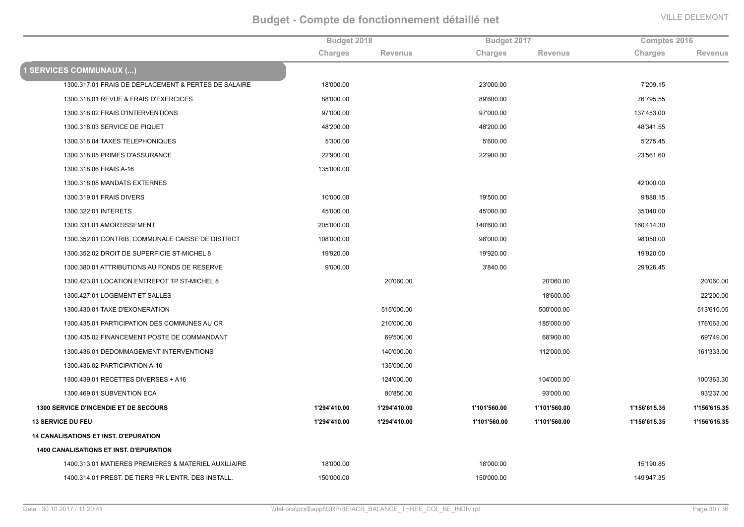|                                                      | Budget 2018  |                | Budget 2017  |                | Comptes 2016 |                |
|------------------------------------------------------|--------------|----------------|--------------|----------------|--------------|----------------|
|                                                      | Charges      | <b>Revenus</b> | Charges      | <b>Revenus</b> | Charges      | <b>Revenus</b> |
| <b>1 SERVICES COMMUNAUX ()</b>                       |              |                |              |                |              |                |
| 1300.317.01 FRAIS DE DEPLACEMENT & PERTES DE SALAIRE | 18'000.00    |                | 23'000.00    |                | 7'209.15     |                |
| 1300.318.01 REVUE & FRAIS D'EXERCICES                | 88'000.00    |                | 89'600.00    |                | 76'795.55    |                |
| 1300.318.02 FRAIS D'INTERVENTIONS                    | 97'000.00    |                | 97'000.00    |                | 137'453.00   |                |
| 1300.318.03 SERVICE DE PIQUET                        | 48'200.00    |                | 48'200.00    |                | 48'341.55    |                |
| 1300.318.04 TAXES TELEPHONIQUES                      | 5'300.00     |                | 5'600.00     |                | 5'275.45     |                |
| 1300.318.05 PRIMES D'ASSURANCE                       | 22'900.00    |                | 22'900.00    |                | 23'561.60    |                |
| 1300.318.06 FRAIS A-16                               | 135'000.00   |                |              |                |              |                |
| 1300.318.08 MANDATS EXTERNES                         |              |                |              |                | 42'000.00    |                |
| 1300.319.01 FRAIS DIVERS                             | 10'000.00    |                | 19'500.00    |                | 9'888.15     |                |
| 1300.322.01 INTERETS                                 | 45'000.00    |                | 45'000.00    |                | 35'040.00    |                |
| 1300.331.01 AMORTISSEMENT                            | 205'000.00   |                | 140'600.00   |                | 160'414.30   |                |
| 1300.352.01 CONTRIB. COMMUNALE CAISSE DE DISTRICT    | 108'000.00   |                | 98'000.00    |                | 98'050.00    |                |
| 1300.352.02 DROIT DE SUPERFICIE ST-MICHEL 8          | 19'920.00    |                | 19'920.00    |                | 19'920.00    |                |
| 1300.380.01 ATTRIBUTIONS AU FONDS DE RESERVE         | 9'000.00     |                | 3'840.00     |                | 29'926.45    |                |
| 1300.423.01 LOCATION ENTREPOT TP ST-MICHEL 8         |              | 20'060.00      |              | 20'060.00      |              | 20'060.00      |
| 1300.427.01 LOGEMENT ET SALLES                       |              |                |              | 18'600.00      |              | 22'200.00      |
| 1300.430.01 TAXE D'EXONERATION                       |              | 515'000.00     |              | 500'000.00     |              | 513'610.05     |
| 1300.435.01 PARTICIPATION DES COMMUNES AU CR         |              | 210'000.00     |              | 185'000.00     |              | 176'063.00     |
| 1300.435.02 FINANCEMENT POSTE DE COMMANDANT          |              | 69'500.00      |              | 68'900.00      |              | 69'749.00      |
| 1300.436.01 DEDOMMAGEMENT INTERVENTIONS              |              | 140'000.00     |              | 112'000.00     |              | 161'333.00     |
| 1300.436.02 PARTICIPATION A-16                       |              | 135'000.00     |              |                |              |                |
| 1300.439.01 RECETTES DIVERSES + A16                  |              | 124'000.00     |              | 104'000.00     |              | 100'363.30     |
| 1300.469.01 SUBVENTION ECA                           |              | 80'850.00      |              | 93'000.00      |              | 93'237.00      |
| 1300 SERVICE D'INCENDIE ET DE SECOURS                | 1'294'410.00 | 1'294'410.00   | 1'101'560.00 | 1'101'560.00   | 1'156'615.35 | 1'156'615.35   |
| <b>13 SERVICE DU FEU</b>                             | 1'294'410.00 | 1'294'410.00   | 1'101'560.00 | 1'101'560.00   | 1'156'615.35 | 1'156'615.35   |
| <b>14 CANALISATIONS ET INST. D'EPURATION</b>         |              |                |              |                |              |                |
| 1400 CANALISATIONS ET INST. D'EPURATION              |              |                |              |                |              |                |
| 1400.313.01 MATIERES PREMIERES & MATERIEL AUXILIAIRE | 18'000.00    |                | 18'000.00    |                | 15'190.85    |                |
| 1400.314.01 PREST. DE TIERS PR L'ENTR. DES INSTALL.  | 150'000.00   |                | 150'000.00   |                | 149'947.35   |                |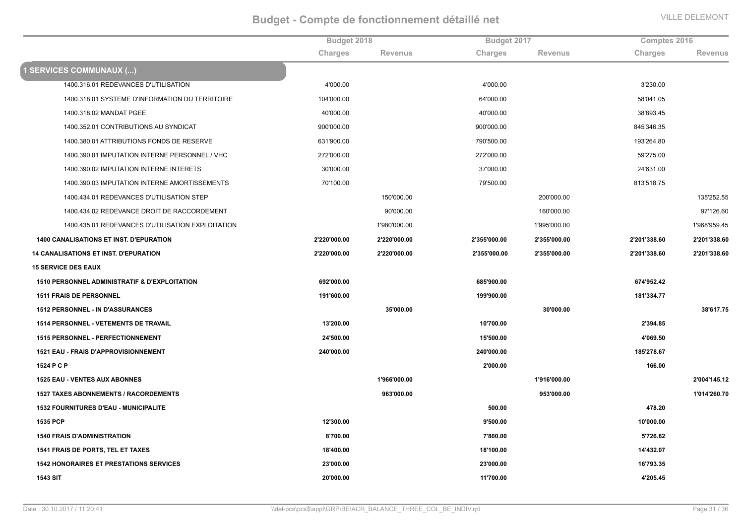|                                                          | Budget 2018    |              | Budget 2017  |                | Comptes 2016 |                |
|----------------------------------------------------------|----------------|--------------|--------------|----------------|--------------|----------------|
|                                                          | <b>Charges</b> | Revenus      | Charges      | <b>Revenus</b> | Charges      | <b>Revenus</b> |
| <b>1 SERVICES COMMUNAUX ()</b>                           |                |              |              |                |              |                |
| 1400.316.01 REDEVANCES D'UTILISATION                     | 4'000.00       |              | 4'000.00     |                | 3'230.00     |                |
| 1400.318.01 SYSTEME D'INFORMATION DU TERRITOIRE          | 104'000.00     |              | 64'000.00    |                | 58'041.05    |                |
| 1400.318.02 MANDAT PGEE                                  | 40'000.00      |              | 40'000.00    |                | 38'893.45    |                |
| 1400.352.01 CONTRIBUTIONS AU SYNDICAT                    | 900'000.00     |              | 900'000.00   |                | 845'346.35   |                |
| 1400.380.01 ATTRIBUTIONS FONDS DE RESERVE                | 631'900.00     |              | 790'500.00   |                | 193'264.80   |                |
| 1400.390.01 IMPUTATION INTERNE PERSONNEL / VHC           | 272'000.00     |              | 272'000.00   |                | 59'275.00    |                |
| 1400.390.02 IMPUTATION INTERNE INTERETS                  | 30'000.00      |              | 37'000.00    |                | 24'631.00    |                |
| 1400.390.03 IMPUTATION INTERNE AMORTISSEMENTS            | 70'100.00      |              | 79'500.00    |                | 813'518.75   |                |
| 1400.434.01 REDEVANCES D'UTILISATION STEP                |                | 150'000.00   |              | 200'000.00     |              | 135'252.55     |
| 1400.434.02 REDEVANCE DROIT DE RACCORDEMENT              |                | 90'000.00    |              | 160'000.00     |              | 97'126.60      |
| 1400.435.01 REDEVANCES D'UTILISATION EXPLOITATION        |                | 1'980'000.00 |              | 1'995'000.00   |              | 1'968'959.45   |
| <b>1400 CANALISATIONS ET INST. D'EPURATION</b>           | 2'220'000.00   | 2'220'000.00 | 2'355'000.00 | 2'355'000.00   | 2'201'338.60 | 2'201'338.60   |
| <b>14 CANALISATIONS ET INST. D'EPURATION</b>             | 2'220'000.00   | 2'220'000.00 | 2'355'000.00 | 2'355'000.00   | 2'201'338.60 | 2'201'338.60   |
| <b>15 SERVICE DES EAUX</b>                               |                |              |              |                |              |                |
| <b>1510 PERSONNEL ADMINISTRATIF &amp; D'EXPLOITATION</b> | 692'000.00     |              | 685'900.00   |                | 674'952.42   |                |
| <b>1511 FRAIS DE PERSONNEL</b>                           | 191'600.00     |              | 199'900.00   |                | 181'334.77   |                |
| <b>1512 PERSONNEL - IN D'ASSURANCES</b>                  |                | 35'000.00    |              | 30'000.00      |              | 38'617.75      |
| <b>1514 PERSONNEL - VETEMENTS DE TRAVAIL</b>             | 13'200.00      |              | 10'700.00    |                | 2'394.85     |                |
| <b>1515 PERSONNEL - PERFECTIONNEMENT</b>                 | 24'500.00      |              | 15'500.00    |                | 4'069.50     |                |
| 1521 EAU - FRAIS D'APPROVISIONNEMENT                     | 240'000.00     |              | 240'000.00   |                | 185'278.67   |                |
| 1524 P C P                                               |                |              | 2'000.00     |                | 166.00       |                |
| <b>1525 EAU - VENTES AUX ABONNES</b>                     |                | 1'966'000.00 |              | 1'916'000.00   |              | 2'004'145.12   |
| <b>1527 TAXES ABONNEMENTS / RACORDEMENTS</b>             |                | 963'000.00   |              | 953'000.00     |              | 1'014'260.70   |
| <b>1532 FOURNITURES D'EAU - MUNICIPALITE</b>             |                |              | 500.00       |                | 478.20       |                |
| 1535 PCP                                                 | 12'300.00      |              | 9'500.00     |                | 10'000.00    |                |
| <b>1540 FRAIS D'ADMINISTRATION</b>                       | 8'700.00       |              | 7'800.00     |                | 5'726.82     |                |
| <b>1541 FRAIS DE PORTS, TEL ET TAXES</b>                 | 18'400.00      |              | 18'100.00    |                | 14'432.07    |                |
| <b>1542 HONORAIRES ET PRESTATIONS SERVICES</b>           | 23'000.00      |              | 23'000.00    |                | 16'793.35    |                |
| <b>1543 SIT</b>                                          | 20'000.00      |              | 11'700.00    |                | 4'205.45     |                |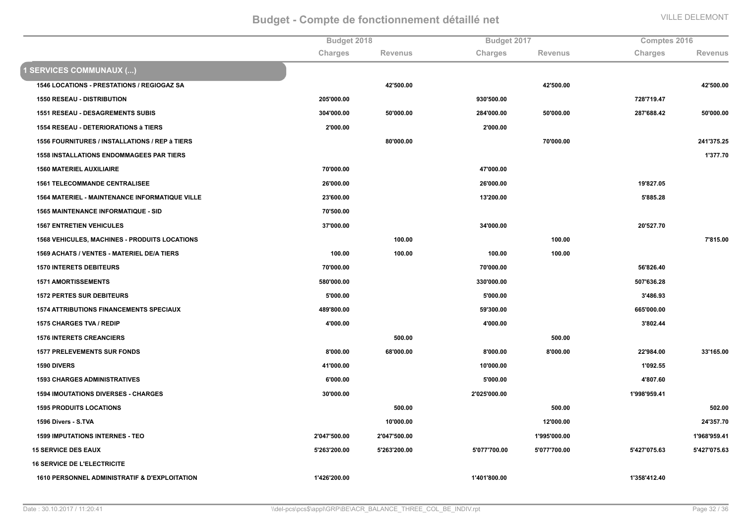|                                                          |              | Budget 2018    |              | Budget 2017    |              | Comptes 2016   |  |
|----------------------------------------------------------|--------------|----------------|--------------|----------------|--------------|----------------|--|
|                                                          | Charges      | <b>Revenus</b> | Charges      | <b>Revenus</b> | Charges      | <b>Revenus</b> |  |
| 1 SERVICES COMMUNAUX ()                                  |              |                |              |                |              |                |  |
| 1546 LOCATIONS - PRESTATIONS / REGIOGAZ SA               |              | 42'500.00      |              | 42'500.00      |              | 42'500.00      |  |
| <b>1550 RESEAU - DISTRIBUTION</b>                        | 205'000.00   |                | 930'500.00   |                | 728'719.47   |                |  |
| <b>1551 RESEAU - DESAGREMENTS SUBIS</b>                  | 304'000.00   | 50'000.00      | 284'000.00   | 50'000.00      | 287'688.42   | 50'000.00      |  |
| <b>1554 RESEAU - DETERIORATIONS à TIERS</b>              | 2'000.00     |                | 2'000.00     |                |              |                |  |
| 1556 FOURNITURES / INSTALLATIONS / REP à TIERS           |              | 80'000.00      |              | 70'000.00      |              | 241'375.25     |  |
| <b>1558 INSTALLATIONS ENDOMMAGEES PAR TIERS</b>          |              |                |              |                |              | 1'377.70       |  |
| <b>1560 MATERIEL AUXILIAIRE</b>                          | 70'000.00    |                | 47'000.00    |                |              |                |  |
| <b>1561 TELECOMMANDE CENTRALISEE</b>                     | 26'000.00    |                | 26'000.00    |                | 19'827.05    |                |  |
| <b>1564 MATERIEL - MAINTENANCE INFORMATIQUE VILLE</b>    | 23'600.00    |                | 13'200.00    |                | 5'885.28     |                |  |
| <b>1565 MAINTENANCE INFORMATIQUE - SID</b>               | 70'500.00    |                |              |                |              |                |  |
| <b>1567 ENTRETIEN VEHICULES</b>                          | 37'000.00    |                | 34'000.00    |                | 20'527.70    |                |  |
| <b>1568 VEHICULES, MACHINES - PRODUITS LOCATIONS</b>     |              | 100.00         |              | 100.00         |              | 7'815.00       |  |
| 1569 ACHATS / VENTES - MATERIEL DE/A TIERS               | 100.00       | 100.00         | 100.00       | 100.00         |              |                |  |
| <b>1570 INTERETS DEBITEURS</b>                           | 70'000.00    |                | 70'000.00    |                | 56'826.40    |                |  |
| <b>1571 AMORTISSEMENTS</b>                               | 580'000.00   |                | 330'000.00   |                | 507'636.28   |                |  |
| <b>1572 PERTES SUR DEBITEURS</b>                         | 5'000.00     |                | 5'000.00     |                | 3'486.93     |                |  |
| <b>1574 ATTRIBUTIONS FINANCEMENTS SPECIAUX</b>           | 489'800.00   |                | 59'300.00    |                | 665'000.00   |                |  |
| 1575 CHARGES TVA / REDIP                                 | 4'000.00     |                | 4'000.00     |                | 3'802.44     |                |  |
| <b>1576 INTERETS CREANCIERS</b>                          |              | 500.00         |              | 500.00         |              |                |  |
| <b>1577 PRELEVEMENTS SUR FONDS</b>                       | 8'000.00     | 68'000.00      | 8'000.00     | 8'000.00       | 22'984.00    | 33'165.00      |  |
| <b>1590 DIVERS</b>                                       | 41'000.00    |                | 10'000.00    |                | 1'092.55     |                |  |
| <b>1593 CHARGES ADMINISTRATIVES</b>                      | 6'000.00     |                | 5'000.00     |                | 4'807.60     |                |  |
| <b>1594 IMOUTATIONS DIVERSES - CHARGES</b>               | 30'000.00    |                | 2'025'000.00 |                | 1'998'959.41 |                |  |
| <b>1595 PRODUITS LOCATIONS</b>                           |              | 500.00         |              | 500.00         |              | 502.00         |  |
| 1596 Divers - S.TVA                                      |              | 10'000.00      |              | 12'000.00      |              | 24'357.70      |  |
| <b>1599 IMPUTATIONS INTERNES - TEO</b>                   | 2'047'500.00 | 2'047'500.00   |              | 1'995'000.00   |              | 1'968'959.41   |  |
| <b>15 SERVICE DES EAUX</b>                               | 5'263'200.00 | 5'263'200.00   | 5'077'700.00 | 5'077'700.00   | 5'427'075.63 | 5'427'075.63   |  |
| <b>16 SERVICE DE L'ELECTRICITE</b>                       |              |                |              |                |              |                |  |
| <b>1610 PERSONNEL ADMINISTRATIF &amp; D'EXPLOITATION</b> | 1'426'200.00 |                | 1'401'800.00 |                | 1'358'412.40 |                |  |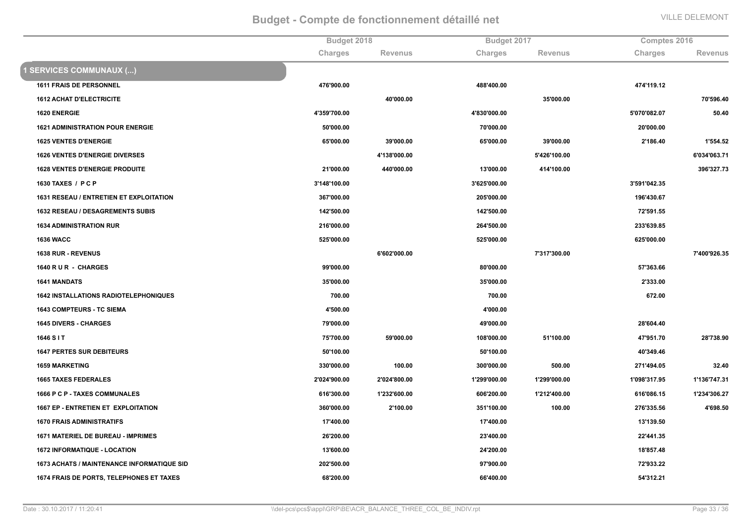|                                                   |              | Budget 2018    |              | Budget 2017    |              | Comptes 2016   |  |
|---------------------------------------------------|--------------|----------------|--------------|----------------|--------------|----------------|--|
|                                                   | Charges      | <b>Revenus</b> | Charges      | <b>Revenus</b> | Charges      | <b>Revenus</b> |  |
| <b>1 SERVICES COMMUNAUX ()</b>                    |              |                |              |                |              |                |  |
| <b>1611 FRAIS DE PERSONNEL</b>                    | 476'900.00   |                | 488'400.00   |                | 474'119.12   |                |  |
| <b>1612 ACHAT D'ELECTRICITE</b>                   |              | 40'000.00      |              | 35'000.00      |              | 70'596.40      |  |
| <b>1620 ENERGIE</b>                               | 4'359'700.00 |                | 4'830'000.00 |                | 5'070'082.07 | 50.40          |  |
| <b>1621 ADMINISTRATION POUR ENERGIE</b>           | 50'000.00    |                | 70'000.00    |                | 20'000.00    |                |  |
| <b>1625 VENTES D'ENERGIE</b>                      | 65'000.00    | 39'000.00      | 65'000.00    | 39'000.00      | 2'186.40     | 1'554.52       |  |
| <b>1626 VENTES D'ENERGIE DIVERSES</b>             |              | 4'138'000.00   |              | 5'426'100.00   |              | 6'034'063.71   |  |
| <b>1628 VENTES D'ENERGIE PRODUITE</b>             | 21'000.00    | 440'000.00     | 13'000.00    | 414'100.00     |              | 396'327.73     |  |
| 1630 TAXES / PCP                                  | 3'148'100.00 |                | 3'625'000.00 |                | 3'591'042.35 |                |  |
| 1631 RESEAU / ENTRETIEN ET EXPLOITATION           | 367'000.00   |                | 205'000.00   |                | 196'430.67   |                |  |
| <b>1632 RESEAU / DESAGREMENTS SUBIS</b>           | 142'500.00   |                | 142'500.00   |                | 72'591.55    |                |  |
| <b>1634 ADMINISTRATION RUR</b>                    | 216'000.00   |                | 264'500.00   |                | 233'639.85   |                |  |
| <b>1636 WACC</b>                                  | 525'000.00   |                | 525'000.00   |                | 625'000.00   |                |  |
| 1638 RUR - REVENUS                                |              | 6'602'000.00   |              | 7'317'300.00   |              | 7'400'926.35   |  |
| 1640 R U R - CHARGES                              | 99'000.00    |                | 80'000.00    |                | 57'363.66    |                |  |
| <b>1641 MANDATS</b>                               | 35'000.00    |                | 35'000.00    |                | 2'333.00     |                |  |
| <b>1642 INSTALLATIONS RADIOTELEPHONIQUES</b>      | 700.00       |                | 700.00       |                | 672.00       |                |  |
| <b>1643 COMPTEURS - TC SIEMA</b>                  | 4'500.00     |                | 4'000.00     |                |              |                |  |
| <b>1645 DIVERS - CHARGES</b>                      | 79'000.00    |                | 49'000.00    |                | 28'604.40    |                |  |
| 1646 S I T                                        | 75'700.00    | 59'000.00      | 108'000.00   | 51'100.00      | 47'951.70    | 28'738.90      |  |
| <b>1647 PERTES SUR DEBITEURS</b>                  | 50'100.00    |                | 50'100.00    |                | 40'349.46    |                |  |
| <b>1659 MARKETING</b>                             | 330'000.00   | 100.00         | 300'000.00   | 500.00         | 271'494.05   | 32.40          |  |
| <b>1665 TAXES FEDERALES</b>                       | 2'024'900.00 | 2'024'800.00   | 1'299'000.00 | 1'299'000.00   | 1'098'317.95 | 1'136'747.31   |  |
| 1666 P C P - TAXES COMMUNALES                     | 616'300.00   | 1'232'600.00   | 606'200.00   | 1'212'400.00   | 616'086.15   | 1'234'306.27   |  |
| <b>1667 EP - ENTRETIEN ET EXPLOITATION</b>        | 360'000.00   | 2'100.00       | 351'100.00   | 100.00         | 276'335.56   | 4'698.50       |  |
| <b>1670 FRAIS ADMINISTRATIFS</b>                  | 17'400.00    |                | 17'400.00    |                | 13'139.50    |                |  |
| <b>1671 MATERIEL DE BUREAU - IMPRIMES</b>         | 26'200.00    |                | 23'400.00    |                | 22'441.35    |                |  |
| <b>1672 INFORMATIQUE - LOCATION</b>               | 13'600.00    |                | 24'200.00    |                | 18'857.48    |                |  |
| <b>1673 ACHATS / MAINTENANCE INFORMATIQUE SID</b> | 202'500.00   |                | 97'900.00    |                | 72'933.22    |                |  |
| <b>1674 FRAIS DE PORTS, TELEPHONES ET TAXES</b>   | 68'200.00    |                | 66'400.00    |                | 54'312.21    |                |  |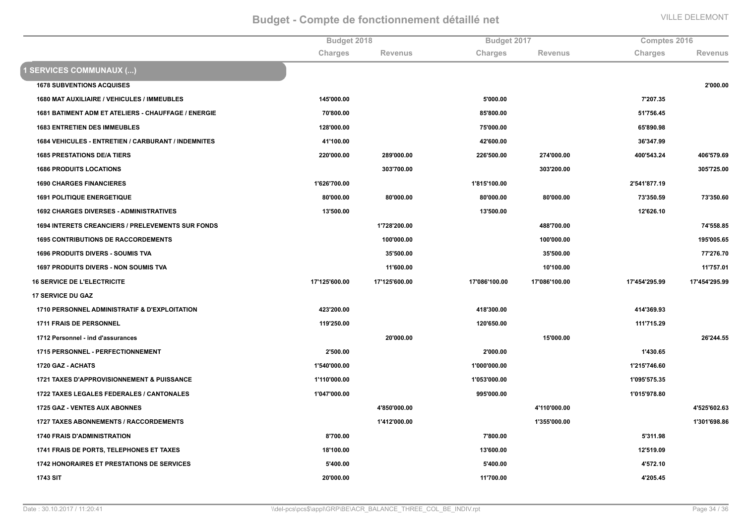|                                                          |               | Budget 2018    |               | Budget 2017    |               | Comptes 2016   |  |
|----------------------------------------------------------|---------------|----------------|---------------|----------------|---------------|----------------|--|
|                                                          | Charges       | <b>Revenus</b> | Charges       | <b>Revenus</b> | Charges       | <b>Revenus</b> |  |
| 1 SERVICES COMMUNAUX ()                                  |               |                |               |                |               |                |  |
| <b>1678 SUBVENTIONS ACQUISES</b>                         |               |                |               |                |               | 2'000.00       |  |
| 1680 MAT AUXILIAIRE / VEHICULES / IMMEUBLES              | 145'000.00    |                | 5'000.00      |                | 7'207.35      |                |  |
| 1681 BATIMENT ADM ET ATELIERS - CHAUFFAGE / ENERGIE      | 70'800.00     |                | 85'800.00     |                | 51'756.45     |                |  |
| <b>1683 ENTRETIEN DES IMMEUBLES</b>                      | 128'000.00    |                | 75'000.00     |                | 65'890.98     |                |  |
| 1684 VEHICULES - ENTRETIEN / CARBURANT / INDEMNITES      | 41'100.00     |                | 42'600.00     |                | 36'347.99     |                |  |
| <b>1685 PRESTATIONS DE/A TIERS</b>                       | 220'000.00    | 289'000.00     | 226'500.00    | 274'000.00     | 400'543.24    | 406'579.69     |  |
| <b>1686 PRODUITS LOCATIONS</b>                           |               | 303'700.00     |               | 303'200.00     |               | 305'725.00     |  |
| <b>1690 CHARGES FINANCIERES</b>                          | 1'626'700.00  |                | 1'815'100.00  |                | 2'541'877.19  |                |  |
| <b>1691 POLITIQUE ENERGETIQUE</b>                        | 80'000.00     | 80'000.00      | 80'000.00     | 80'000.00      | 73'350.59     | 73'350.60      |  |
| <b>1692 CHARGES DIVERSES - ADMINISTRATIVES</b>           | 13'500.00     |                | 13'500.00     |                | 12'626.10     |                |  |
| <b>1694 INTERETS CREANCIERS / PRELEVEMENTS SUR FONDS</b> |               | 1'728'200.00   |               | 488'700.00     |               | 74'558.85      |  |
| <b>1695 CONTRIBUTIONS DE RACCORDEMENTS</b>               |               | 100'000.00     |               | 100'000.00     |               | 195'005.65     |  |
| <b>1696 PRODUITS DIVERS - SOUMIS TVA</b>                 |               | 35'500.00      |               | 35'500.00      |               | 77'276.70      |  |
| <b>1697 PRODUITS DIVERS - NON SOUMIS TVA</b>             |               | 11'600.00      |               | 10'100.00      |               | 11'757.01      |  |
| <b>16 SERVICE DE L'ELECTRICITE</b>                       | 17'125'600.00 | 17'125'600.00  | 17'086'100.00 | 17'086'100.00  | 17'454'295.99 | 17'454'295.99  |  |
| <b>17 SERVICE DU GAZ</b>                                 |               |                |               |                |               |                |  |
| 1710 PERSONNEL ADMINISTRATIF & D'EXPLOITATION            | 423'200.00    |                | 418'300.00    |                | 414'369.93    |                |  |
| 1711 FRAIS DE PERSONNEL                                  | 119'250.00    |                | 120'650.00    |                | 111'715.29    |                |  |
| 1712 Personnel - ind d'assurances                        |               | 20'000.00      |               | 15'000.00      |               | 26'244.55      |  |
| 1715 PERSONNEL - PERFECTIONNEMENT                        | 2'500.00      |                | 2'000.00      |                | 1'430.65      |                |  |
| 1720 GAZ - ACHATS                                        | 1'540'000.00  |                | 1'000'000.00  |                | 1'215'746.60  |                |  |
| 1721 TAXES D'APPROVISIONNEMENT & PUISSANCE               | 1'110'000.00  |                | 1'053'000.00  |                | 1'095'575.35  |                |  |
| 1722 TAXES LEGALES FEDERALES / CANTONALES                | 1'047'000.00  |                | 995'000.00    |                | 1'015'978.80  |                |  |
| 1725 GAZ - VENTES AUX ABONNES                            |               | 4'850'000.00   |               | 4'110'000.00   |               | 4'525'602.63   |  |
| <b>1727 TAXES ABONNEMENTS / RACCORDEMENTS</b>            |               | 1'412'000.00   |               | 1'355'000.00   |               | 1'301'698.86   |  |
| <b>1740 FRAIS D'ADMINISTRATION</b>                       | 8'700.00      |                | 7'800.00      |                | 5'311.98      |                |  |
| 1741 FRAIS DE PORTS, TELEPHONES ET TAXES                 | 18'100.00     |                | 13'600.00     |                | 12'519.09     |                |  |
| <b>1742 HONORAIRES ET PRESTATIONS DE SERVICES</b>        | 5'400.00      |                | 5'400.00      |                | 4'572.10      |                |  |
| <b>1743 SIT</b>                                          | 20'000.00     |                | 11'700.00     |                | 4'205.45      |                |  |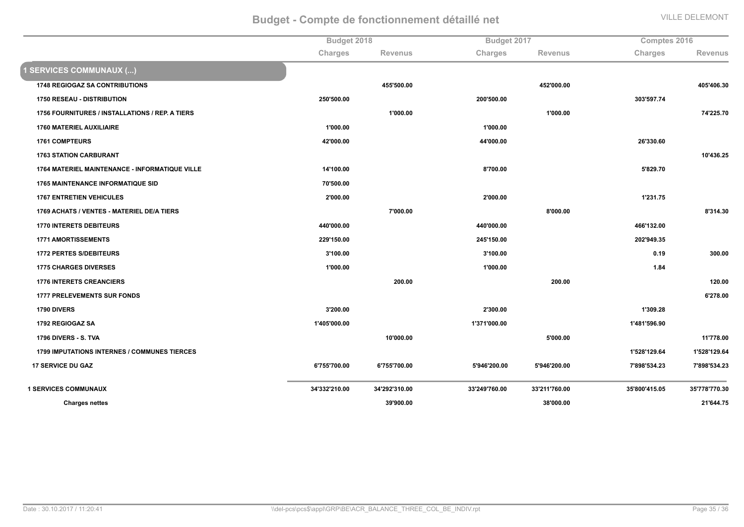|                                                       | Budget 2018   |                |               | Budget 2017    |               | Comptes 2016  |  |
|-------------------------------------------------------|---------------|----------------|---------------|----------------|---------------|---------------|--|
|                                                       | Charges       | <b>Revenus</b> | Charges       | <b>Revenus</b> | Charges       | Revenus       |  |
| <b>1 SERVICES COMMUNAUX ()</b>                        |               |                |               |                |               |               |  |
| <b>1748 REGIOGAZ SA CONTRIBUTIONS</b>                 |               | 455'500.00     |               | 452'000.00     |               | 405'406.30    |  |
| <b>1750 RESEAU - DISTRIBUTION</b>                     | 250'500.00    |                | 200'500.00    |                | 303'597.74    |               |  |
| 1756 FOURNITURES / INSTALLATIONS / REP. A TIERS       |               | 1'000.00       |               | 1'000.00       |               | 74'225.70     |  |
| <b>1760 MATERIEL AUXILIAIRE</b>                       | 1'000.00      |                | 1'000.00      |                |               |               |  |
| <b>1761 COMPTEURS</b>                                 | 42'000.00     |                | 44'000.00     |                | 26'330.60     |               |  |
| <b>1763 STATION CARBURANT</b>                         |               |                |               |                |               | 10'436.25     |  |
| <b>1764 MATERIEL MAINTENANCE - INFORMATIQUE VILLE</b> | 14'100.00     |                | 8'700.00      |                | 5'829.70      |               |  |
| 1765 MAINTENANCE INFORMATIQUE SID                     | 70'500.00     |                |               |                |               |               |  |
| <b>1767 ENTRETIEN VEHICULES</b>                       | 2'000.00      |                | 2'000.00      |                | 1'231.75      |               |  |
| 1769 ACHATS / VENTES - MATERIEL DE/A TIERS            |               | 7'000.00       |               | 8'000.00       |               | 8'314.30      |  |
| <b>1770 INTERETS DEBITEURS</b>                        | 440'000.00    |                | 440'000.00    |                | 466'132.00    |               |  |
| <b>1771 AMORTISSEMENTS</b>                            | 229'150.00    |                | 245'150.00    |                | 202'949.35    |               |  |
| <b>1772 PERTES S/DEBITEURS</b>                        | 3'100.00      |                | 3'100.00      |                | 0.19          | 300.00        |  |
| <b>1775 CHARGES DIVERSES</b>                          | 1'000.00      |                | 1'000.00      |                | 1.84          |               |  |
| <b>1776 INTERETS CREANCIERS</b>                       |               | 200.00         |               | 200.00         |               | 120.00        |  |
| <b>1777 PRELEVEMENTS SUR FONDS</b>                    |               |                |               |                |               | 6'278.00      |  |
| <b>1790 DIVERS</b>                                    | 3'200.00      |                | 2'300.00      |                | 1'309.28      |               |  |
| 1792 REGIOGAZ SA                                      | 1'405'000.00  |                | 1'371'000.00  |                | 1'481'596.90  |               |  |
| 1796 DIVERS - S. TVA                                  |               | 10'000.00      |               | 5'000.00       |               | 11'778.00     |  |
| <b>1799 IMPUTATIONS INTERNES / COMMUNES TIERCES</b>   |               |                |               |                | 1'528'129.64  | 1'528'129.64  |  |
| <b>17 SERVICE DU GAZ</b>                              | 6'755'700.00  | 6'755'700.00   | 5'946'200.00  | 5'946'200.00   | 7'898'534.23  | 7'898'534.23  |  |
| <b>1 SERVICES COMMUNAUX</b>                           | 34'332'210.00 | 34'292'310.00  | 33'249'760.00 | 33'211'760.00  | 35'800'415.05 | 35'778'770.30 |  |
| <b>Charges nettes</b>                                 |               | 39'900.00      |               | 38'000.00      |               | 21'644.75     |  |